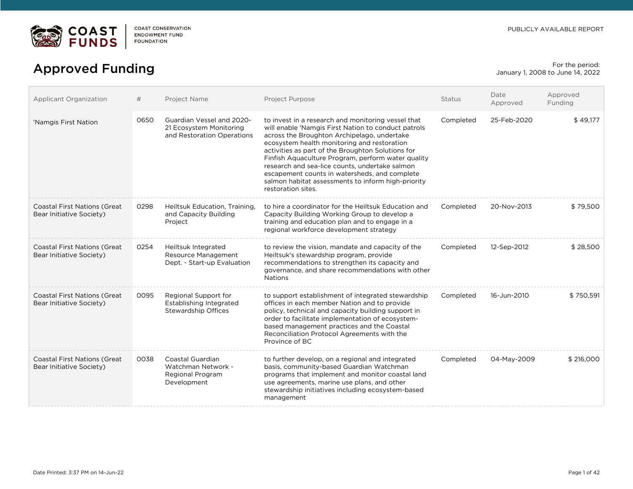

# For the period:<br>
Approved Funding Forms and the period:<br>
anuary 1, 2008 to June 14, 2022

January 1, 2008 to June 14, 2022

| Applicant Organization                                           | #    | Project Name                                                                       | <b>Project Purpose</b>                                                                                                                                                                                                                                                                                                                                                                                                                                                                            | <b>Status</b> | Date<br>Approved | Approved<br>Funding |
|------------------------------------------------------------------|------|------------------------------------------------------------------------------------|---------------------------------------------------------------------------------------------------------------------------------------------------------------------------------------------------------------------------------------------------------------------------------------------------------------------------------------------------------------------------------------------------------------------------------------------------------------------------------------------------|---------------|------------------|---------------------|
| 'Namgis First Nation                                             | 0650 | Guardian Vessel and 2020-<br>21 Ecosystem Monitoring<br>and Restoration Operations | to invest in a research and monitoring vessel that<br>will enable 'Namgis First Nation to conduct patrols<br>across the Broughton Archipelago, undertake<br>ecosystem health monitoring and restoration<br>activities as part of the Broughton Solutions for<br>Finfish Aquaculture Program, perform water quality<br>research and sea-lice counts, undertake salmon<br>escapement counts in watersheds, and complete<br>salmon habitat assessments to inform high-priority<br>restoration sites. | Completed     | 25-Feb-2020      | \$49,177            |
| <b>Coastal First Nations (Great</b><br>Bear Initiative Society)  | 0298 | Heiltsuk Education, Training,<br>and Capacity Building<br>Project                  | to hire a coordinator for the Heiltsuk Education and<br>Capacity Building Working Group to develop a<br>training and education plan and to engage in a<br>regional workforce development strategy                                                                                                                                                                                                                                                                                                 | Completed     | 20-Nov-2013      | \$79.500            |
| <b>Coastal First Nations (Great</b><br>Bear Initiative Society)  | 0254 | Heiltsuk Integrated<br>Resource Management<br>Dept. - Start-up Evaluation          | to review the vision, mandate and capacity of the<br>Heiltsuk's stewardship program, provide<br>recommendations to strengthen its capacity and<br>governance, and share recommendations with other<br><b>Nations</b>                                                                                                                                                                                                                                                                              | Completed     | 12-Sep-2012      | \$28,500            |
| <b>Coastal First Nations (Great)</b><br>Bear Initiative Society) | 0095 | Regional Support for<br>Establishing Integrated<br><b>Stewardship Offices</b>      | to support establishment of integrated stewardship<br>offices in each member Nation and to provide<br>policy, technical and capacity building support in<br>order to facilitate implementation of ecosystem-<br>based management practices and the Coastal<br>Reconciliation Protocol Agreements with the<br>Province of BC                                                                                                                                                                       | Completed     | 16-Jun-2010      | \$750,591           |
| <b>Coastal First Nations (Great</b><br>Bear Initiative Society)  | 0038 | Coastal Guardian<br>Watchman Network -<br><b>Regional Program</b><br>Development   | to further develop, on a regional and integrated<br>basis, community-based Guardian Watchman<br>programs that implement and monitor coastal land<br>use agreements, marine use plans, and other<br>stewardship initiatives including ecosystem-based<br>management                                                                                                                                                                                                                                | Completed     | 04-May-2009      | \$216,000           |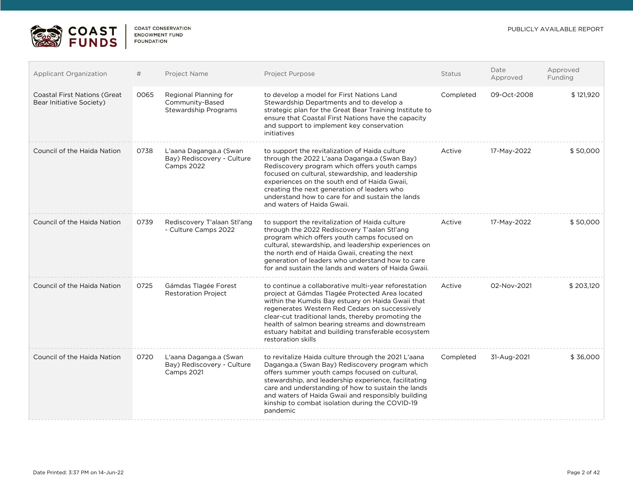

 $\sqrt{2}$ 

| <b>Applicant Organization</b>                                   | #    | Project Name                                                              | Project Purpose                                                                                                                                                                                                                                                                                                                                                                                      | <b>Status</b> | Date<br>Approved | Approved<br>Funding |
|-----------------------------------------------------------------|------|---------------------------------------------------------------------------|------------------------------------------------------------------------------------------------------------------------------------------------------------------------------------------------------------------------------------------------------------------------------------------------------------------------------------------------------------------------------------------------------|---------------|------------------|---------------------|
| <b>Coastal First Nations (Great</b><br>Bear Initiative Society) | 0065 | Regional Planning for<br>Community-Based<br><b>Stewardship Programs</b>   | to develop a model for First Nations Land<br>Stewardship Departments and to develop a<br>strategic plan for the Great Bear Training Institute to<br>ensure that Coastal First Nations have the capacity<br>and support to implement key conservation<br>initiatives                                                                                                                                  | Completed     | 09-Oct-2008      | \$121,920           |
| Council of the Haida Nation                                     | 0738 | L'aana Daganga.a (Swan<br>Bay) Rediscovery - Culture<br>Camps 2022        | to support the revitalization of Haida culture<br>through the 2022 L'aana Daganga.a (Swan Bay)<br>Rediscovery program which offers youth camps<br>focused on cultural, stewardship, and leadership<br>experiences on the south end of Haida Gwaii,<br>creating the next generation of leaders who<br>understand how to care for and sustain the lands<br>and waters of Haida Gwaii.                  | Active        | 17-May-2022      | \$50,000            |
| Council of the Haida Nation                                     | 0739 | Rediscovery T'alaan Stl'ang<br>- Culture Camps 2022                       | to support the revitalization of Haida culture<br>through the 2022 Rediscovery T'aalan Stl'ang<br>program which offers youth camps focused on<br>cultural, stewardship, and leadership experiences on<br>the north end of Haida Gwaii, creating the next<br>generation of leaders who understand how to care<br>for and sustain the lands and waters of Haida Gwaii.                                 | Active        | 17-May-2022      | \$50,000            |
| Council of the Haida Nation                                     | 0725 | Gámdas Tlagée Forest<br><b>Restoration Project</b>                        | to continue a collaborative multi-year reforestation<br>project at Gámdas Tlagée Protected Area located<br>within the Kumdis Bay estuary on Haida Gwaii that<br>regenerates Western Red Cedars on successively<br>clear-cut traditional lands, thereby promoting the<br>health of salmon bearing streams and downstream<br>estuary habitat and building transferable ecosystem<br>restoration skills | Active        | 02-Nov-2021      | \$203,120           |
| Council of the Haida Nation                                     | 0720 | L'aana Daganga.a (Swan<br>Bay) Rediscovery - Culture<br><b>Camps 2021</b> | to revitalize Haida culture through the 2021 L'aana<br>Daganga.a (Swan Bay) Rediscovery program which<br>offers summer youth camps focused on cultural,<br>stewardship, and leadership experience, facilitating<br>care and understanding of how to sustain the lands<br>and waters of Haida Gwaii and responsibly building<br>kinship to combat isolation during the COVID-19<br>pandemic           | Completed     | 31-Aug-2021      | \$36,000            |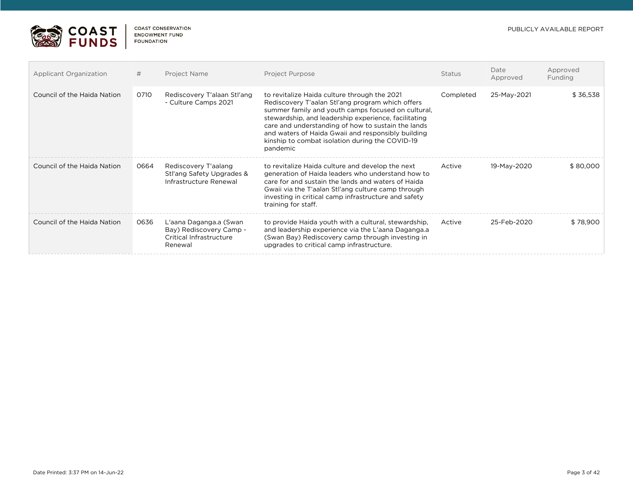

| <b>Applicant Organization</b> | #    | Project Name                                                                            | <b>Project Purpose</b>                                                                                                                                                                                                                                                                                                                                                                    | <b>Status</b> | Date<br>Approved  | Approved<br>Funding |
|-------------------------------|------|-----------------------------------------------------------------------------------------|-------------------------------------------------------------------------------------------------------------------------------------------------------------------------------------------------------------------------------------------------------------------------------------------------------------------------------------------------------------------------------------------|---------------|-------------------|---------------------|
| Council of the Haida Nation   | 0710 | Rediscovery T'alaan Stl'ang<br>- Culture Camps 2021                                     | to revitalize Haida culture through the 2021<br>Rediscovery T'aalan Stl'ang program which offers<br>summer family and youth camps focused on cultural.<br>stewardship, and leadership experience, facilitating<br>care and understanding of how to sustain the lands<br>and waters of Haida Gwaii and responsibly building<br>kinship to combat isolation during the COVID-19<br>pandemic | Completed     | 25-May-2021       | \$36,538            |
| Council of the Haida Nation   | 0664 | Rediscovery T'aalang<br>Stl'ang Safety Upgrades &<br>Infrastructure Renewal             | to revitalize Haida culture and develop the next<br>generation of Haida leaders who understand how to<br>care for and sustain the lands and waters of Haida<br>Gwaii via the T'aalan Stl'ang culture camp through<br>investing in critical camp infrastructure and safety<br>training for staff.                                                                                          | Active        | 19-May-2020       | \$80,000            |
| Council of the Haida Nation   | 0636 | L'aana Daganga.a (Swan<br>Bay) Rediscovery Camp -<br>Critical Infrastructure<br>Renewal | to provide Haida youth with a cultural, stewardship,<br>and leadership experience via the L'aana Daganga.a<br>(Swan Bay) Rediscovery camp through investing in<br>upgrades to critical camp infrastructure.                                                                                                                                                                               | Active        | $25 - Feh - 2020$ | \$78,900            |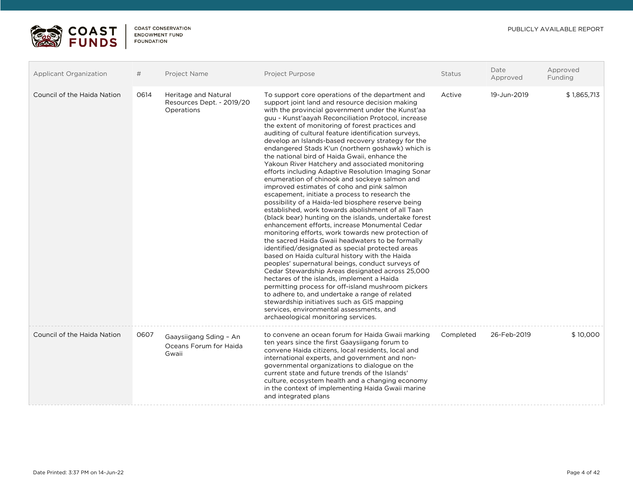

| <b>Applicant Organization</b> | #    | Project Name                                                    | Project Purpose                                                                                                                                                                                                                                                                                                                                                                                                                                                                                                                                                                                                                                                                                                                                                                                                                                                                                                                                                                                                                                                                                                                                                                                                                                                                                                                                                                                                                                                                                                                                                                          | Status    | Date<br>Approved | Approved<br>Funding |
|-------------------------------|------|-----------------------------------------------------------------|------------------------------------------------------------------------------------------------------------------------------------------------------------------------------------------------------------------------------------------------------------------------------------------------------------------------------------------------------------------------------------------------------------------------------------------------------------------------------------------------------------------------------------------------------------------------------------------------------------------------------------------------------------------------------------------------------------------------------------------------------------------------------------------------------------------------------------------------------------------------------------------------------------------------------------------------------------------------------------------------------------------------------------------------------------------------------------------------------------------------------------------------------------------------------------------------------------------------------------------------------------------------------------------------------------------------------------------------------------------------------------------------------------------------------------------------------------------------------------------------------------------------------------------------------------------------------------------|-----------|------------------|---------------------|
| Council of the Haida Nation   | 0614 | Heritage and Natural<br>Resources Dept. - 2019/20<br>Operations | To support core operations of the department and<br>support joint land and resource decision making<br>with the provincial government under the Kunst'aa<br>guu - Kunst'aayah Reconciliation Protocol, increase<br>the extent of monitoring of forest practices and<br>auditing of cultural feature identification surveys,<br>develop an Islands-based recovery strategy for the<br>endangered Stads K'un (northern goshawk) which is<br>the national bird of Haida Gwaii, enhance the<br>Yakoun River Hatchery and associated monitoring<br>efforts including Adaptive Resolution Imaging Sonar<br>enumeration of chinook and sockeye salmon and<br>improved estimates of coho and pink salmon<br>escapement, initiate a process to research the<br>possibility of a Haida-led biosphere reserve being<br>established, work towards abolishment of all Taan<br>(black bear) hunting on the islands, undertake forest<br>enhancement efforts, increase Monumental Cedar<br>monitoring efforts, work towards new protection of<br>the sacred Haida Gwaii headwaters to be formally<br>identified/designated as special protected areas<br>based on Haida cultural history with the Haida<br>peoples' supernatural beings, conduct surveys of<br>Cedar Stewardship Areas designated across 25,000<br>hectares of the islands, implement a Haida<br>permitting process for off-island mushroom pickers<br>to adhere to, and undertake a range of related<br>stewardship initiatives such as GIS mapping<br>services, environmental assessments, and<br>archaeological monitoring services. | Active    | 19-Jun-2019      | \$1,865,713         |
| Council of the Haida Nation   | 0607 | Gaaysiigang Sding - An<br>Oceans Forum for Haida<br>Gwaii       | to convene an ocean forum for Haida Gwaii marking<br>ten years since the first Gaaysiigang forum to<br>convene Haida citizens, local residents, local and<br>international experts, and government and non-<br>governmental organizations to dialogue on the<br>current state and future trends of the Islands'<br>culture, ecosystem health and a changing economy<br>in the context of implementing Haida Gwaii marine<br>and integrated plans                                                                                                                                                                                                                                                                                                                                                                                                                                                                                                                                                                                                                                                                                                                                                                                                                                                                                                                                                                                                                                                                                                                                         | Completed | 26-Feb-2019      | \$10,000            |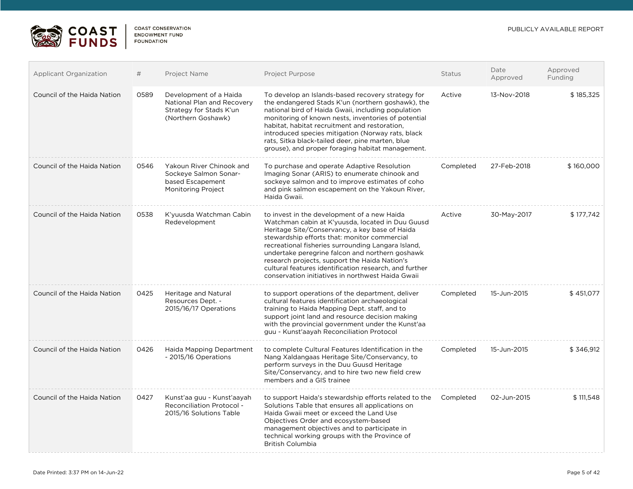

| <b>Applicant Organization</b> | #    | Project Name                                                                                          | Project Purpose                                                                                                                                                                                                                                                                                                                                                                                                                                                            | <b>Status</b> | Date<br>Approved | Approved<br>Funding |
|-------------------------------|------|-------------------------------------------------------------------------------------------------------|----------------------------------------------------------------------------------------------------------------------------------------------------------------------------------------------------------------------------------------------------------------------------------------------------------------------------------------------------------------------------------------------------------------------------------------------------------------------------|---------------|------------------|---------------------|
| Council of the Haida Nation   | 0589 | Development of a Haida<br>National Plan and Recovery<br>Strategy for Stads K'un<br>(Northern Goshawk) | To develop an Islands-based recovery strategy for<br>the endangered Stads K'un (northern goshawk), the<br>national bird of Haida Gwaii, including population<br>monitoring of known nests, inventories of potential<br>habitat, habitat recruitment and restoration,<br>introduced species mitigation (Norway rats, black<br>rats, Sitka black-tailed deer, pine marten, blue<br>grouse), and proper foraging habitat management.                                          | Active        | 13-Nov-2018      | \$185,325           |
| Council of the Haida Nation   | 0546 | Yakoun River Chinook and<br>Sockeye Salmon Sonar-<br>based Escapement<br>Monitoring Project           | To purchase and operate Adaptive Resolution<br>Imaging Sonar (ARIS) to enumerate chinook and<br>sockeye salmon and to improve estimates of coho<br>and pink salmon escapement on the Yakoun River,<br>Haida Gwaii.                                                                                                                                                                                                                                                         | Completed     | 27-Feb-2018      | \$160,000           |
| Council of the Haida Nation   | 0538 | K'yuusda Watchman Cabin<br>Redevelopment                                                              | to invest in the development of a new Haida<br>Watchman cabin at K'yuusda, located in Duu Guusd<br>Heritage Site/Conservancy, a key base of Haida<br>stewardship efforts that: monitor commercial<br>recreational fisheries surrounding Langara Island,<br>undertake peregrine falcon and northern goshawk<br>research projects, support the Haida Nation's<br>cultural features identification research, and further<br>conservation initiatives in northwest Haida Gwaii | Active        | 30-May-2017      | \$177,742           |
| Council of the Haida Nation   | 0425 | Heritage and Natural<br>Resources Dept. -<br>2015/16/17 Operations                                    | to support operations of the department, deliver<br>cultural features identification archaeological<br>training to Haida Mapping Dept. staff, and to<br>support joint land and resource decision making<br>with the provincial government under the Kunst'aa<br>guu - Kunst'aayah Reconciliation Protocol                                                                                                                                                                  | Completed     | 15-Jun-2015      | \$451,077           |
| Council of the Haida Nation   | 0426 | Haida Mapping Department<br>- 2015/16 Operations                                                      | to complete Cultural Features Identification in the<br>Nang Xaldangaas Heritage Site/Conservancy, to<br>perform surveys in the Duu Guusd Heritage<br>Site/Conservancy, and to hire two new field crew<br>members and a GIS trainee                                                                                                                                                                                                                                         | Completed     | 15-Jun-2015      | \$346,912           |
| Council of the Haida Nation   | 0427 | Kunst'aa guu - Kunst'aayah<br><b>Reconciliation Protocol -</b><br>2015/16 Solutions Table             | to support Haida's stewardship efforts related to the<br>Solutions Table that ensures all applications on<br>Haida Gwaii meet or exceed the Land Use<br>Objectives Order and ecosystem-based<br>management objectives and to participate in<br>technical working groups with the Province of<br><b>British Columbia</b>                                                                                                                                                    | Completed     | 02-Jun-2015      | \$111,548           |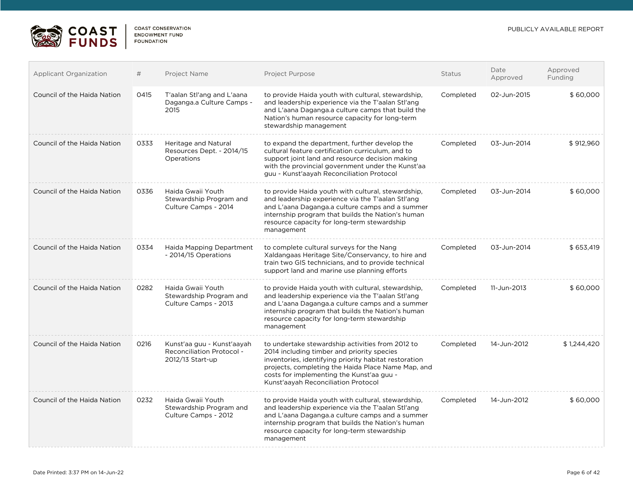

| <b>Applicant Organization</b> | #    | Project Name                                                                | <b>Project Purpose</b>                                                                                                                                                                                                                                                                            | <b>Status</b> | Date<br>Approved | Approved<br>Funding |
|-------------------------------|------|-----------------------------------------------------------------------------|---------------------------------------------------------------------------------------------------------------------------------------------------------------------------------------------------------------------------------------------------------------------------------------------------|---------------|------------------|---------------------|
| Council of the Haida Nation   | 0415 | T'aalan Stl'ang and L'aana<br>Daganga.a Culture Camps -<br>2015             | to provide Haida youth with cultural, stewardship,<br>and leadership experience via the T'aalan Stl'ang<br>and L'aana Daganga.a culture camps that build the<br>Nation's human resource capacity for long-term<br>stewardship management                                                          | Completed     | 02-Jun-2015      | \$60,000            |
| Council of the Haida Nation   | 0333 | Heritage and Natural<br>Resources Dept. - 2014/15<br>Operations             | to expand the department, further develop the<br>cultural feature certification curriculum, and to<br>support joint land and resource decision making<br>with the provincial government under the Kunst'aa<br>guu - Kunst'aayah Reconciliation Protocol                                           | Completed     | 03-Jun-2014      | \$912,960           |
| Council of the Haida Nation   | 0336 | Haida Gwaii Youth<br>Stewardship Program and<br>Culture Camps - 2014        | to provide Haida youth with cultural, stewardship,<br>and leadership experience via the T'aalan Stl'ang<br>and L'aana Daganga.a culture camps and a summer<br>internship program that builds the Nation's human<br>resource capacity for long-term stewardship<br>management                      | Completed     | 03-Jun-2014      | \$60,000            |
| Council of the Haida Nation   | 0334 | Haida Mapping Department<br>- 2014/15 Operations                            | to complete cultural surveys for the Nang<br>Xaldangaas Heritage Site/Conservancy, to hire and<br>train two GIS technicians, and to provide technical<br>support land and marine use planning efforts                                                                                             | Completed     | 03-Jun-2014      | \$653.419           |
| Council of the Haida Nation   | 0282 | Haida Gwaii Youth<br>Stewardship Program and<br>Culture Camps - 2013        | to provide Haida youth with cultural, stewardship,<br>and leadership experience via the T'aalan Stl'ang<br>and L'aana Daganga.a culture camps and a summer<br>internship program that builds the Nation's human<br>resource capacity for long-term stewardship<br>management                      | Completed     | 11-Jun-2013      | \$60,000            |
| Council of the Haida Nation   | 0216 | Kunst'aa guu - Kunst'aayah<br>Reconciliation Protocol -<br>2012/13 Start-up | to undertake stewardship activities from 2012 to<br>2014 including timber and priority species<br>inventories, identifying priority habitat restoration<br>projects, completing the Haida Place Name Map, and<br>costs for implementing the Kunst'aa guu -<br>Kunst'aayah Reconciliation Protocol | Completed     | 14-Jun-2012      | \$1,244,420         |
| Council of the Haida Nation   | 0232 | Haida Gwaii Youth<br>Stewardship Program and<br>Culture Camps - 2012        | to provide Haida youth with cultural, stewardship,<br>and leadership experience via the T'aalan Stl'ang<br>and L'aana Daganga.a culture camps and a summer<br>internship program that builds the Nation's human<br>resource capacity for long-term stewardship<br>management                      | Completed     | 14-Jun-2012      | \$60,000            |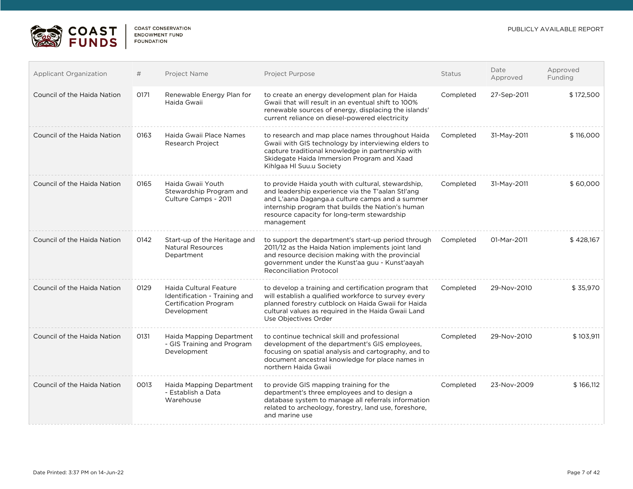



| <b>Applicant Organization</b> | #    | Project Name                                                                                           | Project Purpose                                                                                                                                                                                                                                                              | Status    | Date<br>Approved | Approved<br>Funding |
|-------------------------------|------|--------------------------------------------------------------------------------------------------------|------------------------------------------------------------------------------------------------------------------------------------------------------------------------------------------------------------------------------------------------------------------------------|-----------|------------------|---------------------|
| Council of the Haida Nation   | 0171 | Renewable Energy Plan for<br>Haida Gwaii                                                               | to create an energy development plan for Haida<br>Gwaii that will result in an eventual shift to 100%<br>renewable sources of energy, displacing the islands'<br>current reliance on diesel-powered electricity                                                              | Completed | 27-Sep-2011      | \$172,500           |
| Council of the Haida Nation   | 0163 | Haida Gwaii Place Names<br><b>Research Project</b>                                                     | to research and map place names throughout Haida<br>Gwaii with GIS technology by interviewing elders to<br>capture traditional knowledge in partnership with<br>Skidegate Haida Immersion Program and Xaad<br>Kihlgaa HI Suu.u Society                                       | Completed | 31-May-2011      | \$116,000           |
| Council of the Haida Nation   | 0165 | Haida Gwaii Youth<br>Stewardship Program and<br>Culture Camps - 2011                                   | to provide Haida youth with cultural, stewardship,<br>and leadership experience via the T'aalan Stl'ang<br>and L'aana Daganga.a culture camps and a summer<br>internship program that builds the Nation's human<br>resource capacity for long-term stewardship<br>management | Completed | 31-May-2011      | \$60,000            |
| Council of the Haida Nation   | 0142 | Start-up of the Heritage and<br><b>Natural Resources</b><br>Department                                 | to support the department's start-up period through<br>2011/12 as the Haida Nation implements joint land<br>and resource decision making with the provincial<br>government under the Kunst'aa guu - Kunst'aayah<br><b>Reconciliation Protocol</b>                            | Completed | 01-Mar-2011      | \$428,167           |
| Council of the Haida Nation   | 0129 | Haida Cultural Feature<br>Identification - Training and<br><b>Certification Program</b><br>Development | to develop a training and certification program that<br>will establish a qualified workforce to survey every<br>planned forestry cutblock on Haida Gwaii for Haida<br>cultural values as required in the Haida Gwaii Land<br>Use Objectives Order                            | Completed | 29-Nov-2010      | \$35,970            |
| Council of the Haida Nation   | 0131 | Haida Mapping Department<br>- GIS Training and Program<br>Development                                  | to continue technical skill and professional<br>development of the department's GIS employees.<br>focusing on spatial analysis and cartography, and to<br>document ancestral knowledge for place names in<br>northern Haida Gwaii                                            | Completed | 29-Nov-2010      | \$103,911           |
| Council of the Haida Nation   | 0013 | Haida Mapping Department<br>- Establish a Data<br>Warehouse                                            | to provide GIS mapping training for the<br>department's three employees and to design a<br>database system to manage all referrals information<br>related to archeology, forestry, land use, foreshore,<br>and marine use                                                    | Completed | 23-Nov-2009      | \$166,112           |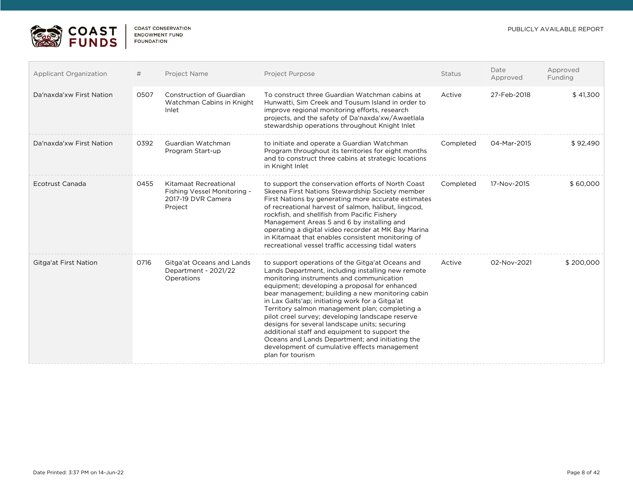

| <b>Applicant Organization</b> | #    | Project Name                                                                          | Project Purpose                                                                                                                                                                                                                                                                                                                                                                                                                                                                                                                                                                                                                          | <b>Status</b> | Date<br>Approved | Approved<br>Funding |
|-------------------------------|------|---------------------------------------------------------------------------------------|------------------------------------------------------------------------------------------------------------------------------------------------------------------------------------------------------------------------------------------------------------------------------------------------------------------------------------------------------------------------------------------------------------------------------------------------------------------------------------------------------------------------------------------------------------------------------------------------------------------------------------------|---------------|------------------|---------------------|
| Da'naxda'xw First Nation      | 0507 | Construction of Guardian<br>Watchman Cabins in Knight<br>Inlet                        | To construct three Guardian Watchman cabins at<br>Hunwatti. Sim Creek and Tousum Island in order to<br>improve regional monitoring efforts, research<br>projects, and the safety of Da'naxda'xw/Awaetlala<br>stewardship operations throughout Knight Inlet                                                                                                                                                                                                                                                                                                                                                                              | Active        | 27-Feb-2018      | \$41,300            |
| Da'naxda'xw First Nation      | 0392 | Guardian Watchman<br>Program Start-up                                                 | to initiate and operate a Guardian Watchman<br>Program throughout its territories for eight months<br>and to construct three cabins at strategic locations<br>in Knight Inlet                                                                                                                                                                                                                                                                                                                                                                                                                                                            | Completed     | 04-Mar-2015      | \$92,490            |
| Ecotrust Canada               | 0455 | Kitamaat Recreational<br>Fishing Vessel Monitoring -<br>2017-19 DVR Camera<br>Project | to support the conservation efforts of North Coast<br>Skeena First Nations Stewardship Society member<br>First Nations by generating more accurate estimates<br>of recreational harvest of salmon, halibut, lingcod,<br>rockfish, and shellfish from Pacific Fishery<br>Management Areas 5 and 6 by installing and<br>operating a digital video recorder at MK Bay Marina<br>in Kitamaat that enables consistent monitoring of<br>recreational vessel traffic accessing tidal waters                                                                                                                                                     | Completed     | 17-Nov-2015      | \$60,000            |
| Gitga'at First Nation         | 0716 | Gitga'at Oceans and Lands<br>Department - 2021/22<br>Operations                       | to support operations of the Gitga'at Oceans and<br>Lands Department, including installing new remote<br>monitoring instruments and communication<br>equipment; developing a proposal for enhanced<br>bear management; building a new monitoring cabin<br>in Lax Galts'ap; initiating work for a Gitga'at<br>Territory salmon management plan; completing a<br>pilot creel survey; developing landscape reserve<br>designs for several landscape units; securing<br>additional staff and equipment to support the<br>Oceans and Lands Department; and initiating the<br>development of cumulative effects management<br>plan for tourism | Active        | 02-Nov-2021      | \$200,000           |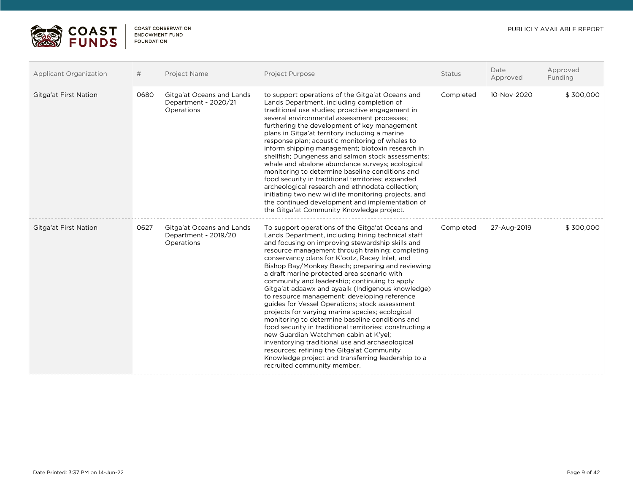

| Applicant Organization       | #    | <b>Project Name</b>                                             | Project Purpose                                                                                                                                                                                                                                                                                                                                                                                                                                                                                                                                                                                                                                                                                                                                                                                                                                                                                                                                                              | Status    | Date<br>Approved | Approved<br>Funding |
|------------------------------|------|-----------------------------------------------------------------|------------------------------------------------------------------------------------------------------------------------------------------------------------------------------------------------------------------------------------------------------------------------------------------------------------------------------------------------------------------------------------------------------------------------------------------------------------------------------------------------------------------------------------------------------------------------------------------------------------------------------------------------------------------------------------------------------------------------------------------------------------------------------------------------------------------------------------------------------------------------------------------------------------------------------------------------------------------------------|-----------|------------------|---------------------|
| Gitga'at First Nation        | 0680 | Gitga'at Oceans and Lands<br>Department - 2020/21<br>Operations | to support operations of the Gitga'at Oceans and<br>Lands Department, including completion of<br>traditional use studies; proactive engagement in<br>several environmental assessment processes;<br>furthering the development of key management<br>plans in Gitga'at territory including a marine<br>response plan; acoustic monitoring of whales to<br>inform shipping management; biotoxin research in<br>shellfish; Dungeness and salmon stock assessments;<br>whale and abalone abundance surveys; ecological<br>monitoring to determine baseline conditions and<br>food security in traditional territories; expanded<br>archeological research and ethnodata collection;<br>initiating two new wildlife monitoring projects, and<br>the continued development and implementation of<br>the Gitga'at Community Knowledge project.                                                                                                                                      | Completed | 10-Nov-2020      | \$300,000           |
| <b>Gitga'at First Nation</b> | 0627 | Gitga'at Oceans and Lands<br>Department - 2019/20<br>Operations | To support operations of the Gitga'at Oceans and<br>Lands Department, including hiring technical staff<br>and focusing on improving stewardship skills and<br>resource management through training; completing<br>conservancy plans for K'ootz, Racey Inlet, and<br>Bishop Bay/Monkey Beach; preparing and reviewing<br>a draft marine protected area scenario with<br>community and leadership; continuing to apply<br>Gitga'at adaawx and ayaalk (Indigenous knowledge)<br>to resource management; developing reference<br>guides for Vessel Operations; stock assessment<br>projects for varying marine species; ecological<br>monitoring to determine baseline conditions and<br>food security in traditional territories; constructing a<br>new Guardian Watchmen cabin at K'yel;<br>inventorying traditional use and archaeological<br>resources; refining the Gitga'at Community<br>Knowledge project and transferring leadership to a<br>recruited community member. | Completed | 27-Aug-2019      | \$300,000           |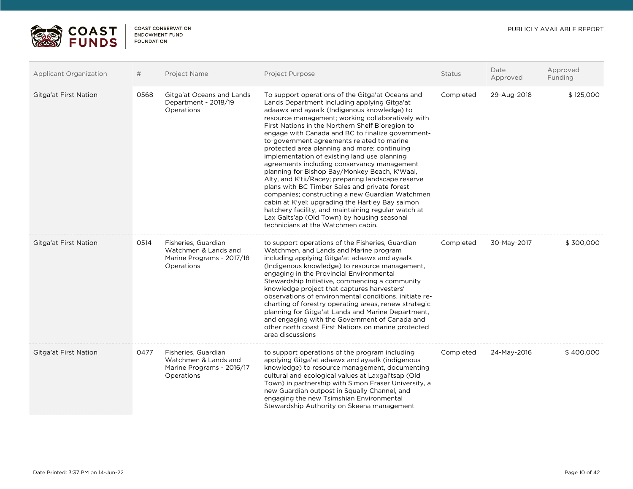

| <b>Applicant Organization</b> | #    | <b>Project Name</b>                                                                    | <b>Project Purpose</b>                                                                                                                                                                                                                                                                                                                                                                                                                                                                                                                                                                                                                                                                                                                                                                                                                                                                                                | <b>Status</b> | Date<br>Approved | Approved<br>Funding |
|-------------------------------|------|----------------------------------------------------------------------------------------|-----------------------------------------------------------------------------------------------------------------------------------------------------------------------------------------------------------------------------------------------------------------------------------------------------------------------------------------------------------------------------------------------------------------------------------------------------------------------------------------------------------------------------------------------------------------------------------------------------------------------------------------------------------------------------------------------------------------------------------------------------------------------------------------------------------------------------------------------------------------------------------------------------------------------|---------------|------------------|---------------------|
| Gitga'at First Nation         | 0568 | Gitga'at Oceans and Lands<br>Department - 2018/19<br>Operations                        | To support operations of the Gitga'at Oceans and<br>Lands Department including applying Gitga'at<br>adaawx and ayaalk (Indigenous knowledge) to<br>resource management; working collaboratively with<br>First Nations in the Northern Shelf Bioregion to<br>engage with Canada and BC to finalize government-<br>to-government agreements related to marine<br>protected area planning and more; continuing<br>implementation of existing land use planning<br>agreements including conservancy management<br>planning for Bishop Bay/Monkey Beach, K'Waal,<br>Alty, and K'tii/Racey; preparing landscape reserve<br>plans with BC Timber Sales and private forest<br>companies; constructing a new Guardian Watchmen<br>cabin at K'yel; upgrading the Hartley Bay salmon<br>hatchery facility, and maintaining regular watch at<br>Lax Galts'ap (Old Town) by housing seasonal<br>technicians at the Watchmen cabin. | Completed     | 29-Aug-2018      | \$125,000           |
| Gitga'at First Nation         | 0514 | Fisheries, Guardian<br>Watchmen & Lands and<br>Marine Programs - 2017/18<br>Operations | to support operations of the Fisheries, Guardian<br>Watchmen, and Lands and Marine program<br>including applying Gitga'at adaawx and ayaalk<br>(Indigenous knowledge) to resource management,<br>engaging in the Provincial Environmental<br>Stewardship Initiative, commencing a community<br>knowledge project that captures harvesters'<br>observations of environmental conditions, initiate re-<br>charting of forestry operating areas, renew strategic<br>planning for Gitga'at Lands and Marine Department,<br>and engaging with the Government of Canada and<br>other north coast First Nations on marine protected<br>area discussions                                                                                                                                                                                                                                                                      | Completed     | 30-May-2017      | \$300,000           |
| Gitga'at First Nation         | 0477 | Fisheries, Guardian<br>Watchmen & Lands and<br>Marine Programs - 2016/17<br>Operations | to support operations of the program including<br>applying Gitga'at adaawx and ayaalk (indigenous<br>knowledge) to resource management, documenting<br>cultural and ecological values at Laxgal'tsap (Old<br>Town) in partnership with Simon Fraser University, a<br>new Guardian outpost in Squally Channel, and<br>engaging the new Tsimshian Environmental<br>Stewardship Authority on Skeena management                                                                                                                                                                                                                                                                                                                                                                                                                                                                                                           | Completed     | 24-May-2016      | \$400,000           |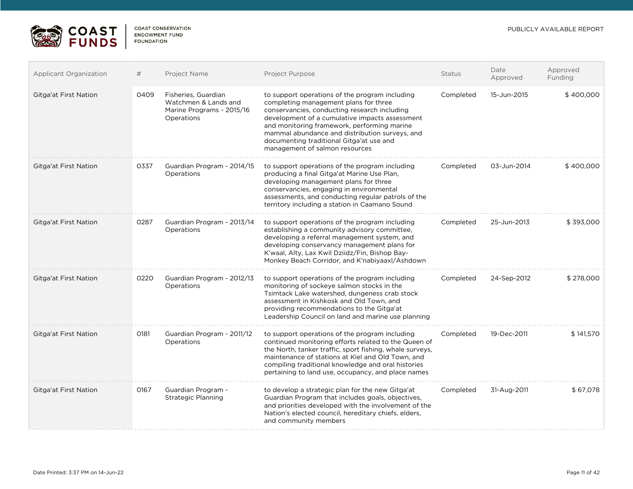

| Applicant Organization       | #    | Project Name                                                                           | Project Purpose                                                                                                                                                                                                                                                                                                                                                          | <b>Status</b> | Date<br>Approved | Approved<br>Funding |
|------------------------------|------|----------------------------------------------------------------------------------------|--------------------------------------------------------------------------------------------------------------------------------------------------------------------------------------------------------------------------------------------------------------------------------------------------------------------------------------------------------------------------|---------------|------------------|---------------------|
| Gitga'at First Nation        | 0409 | Fisheries, Guardian<br>Watchmen & Lands and<br>Marine Programs - 2015/16<br>Operations | to support operations of the program including<br>completing management plans for three<br>conservancies, conducting research including<br>development of a cumulative impacts assessment<br>and monitoring framework, performing marine<br>mammal abundance and distribution surveys, and<br>documenting traditional Gitga'at use and<br>management of salmon resources | Completed     | 15-Jun-2015      | \$400,000           |
| Gitga'at First Nation        | 0337 | Guardian Program - 2014/15<br>Operations                                               | to support operations of the program including<br>producing a final Gitga'at Marine Use Plan,<br>developing management plans for three<br>conservancies, engaging in environmental<br>assessments, and conducting regular patrols of the<br>territory including a station in Caamano Sound                                                                               | Completed     | 03-Jun-2014      | \$400,000           |
| Gitga'at First Nation        | 0287 | Guardian Program - 2013/14<br>Operations                                               | to support operations of the program including<br>establishing a community advisory committee,<br>developing a referral management system, and<br>developing conservancy management plans for<br>K'waal, Alty, Lax Kwil Dziidz/Fin, Bishop Bay-<br>Monkey Beach Corridor, and K'nabiyaaxl/Ashdown                                                                        | Completed     | 25-Jun-2013      | \$393,000           |
| Gitga'at First Nation        | 0220 | Guardian Program - 2012/13<br>Operations                                               | to support operations of the program including<br>monitoring of sockeye salmon stocks in the<br>Tsimtack Lake watershed, dungeness crab stock<br>assessment in Kishkosk and Old Town, and<br>providing recommendations to the Gitga'at<br>Leadership Council on land and marine use planning                                                                             | Completed     | 24-Sep-2012      | \$278,000           |
| Gitga'at First Nation        | 0181 | Guardian Program - 2011/12<br>Operations                                               | to support operations of the program including<br>continued monitoring efforts related to the Queen of<br>the North, tanker traffic, sport fishing, whale surveys,<br>maintenance of stations at Kiel and Old Town, and<br>compiling traditional knowledge and oral histories<br>pertaining to land use, occupancy, and place names                                      | Completed     | 19-Dec-2011      | \$141,570           |
| <b>Gitga'at First Nation</b> | 0167 | Guardian Program -<br><b>Strategic Planning</b>                                        | to develop a strategic plan for the new Gitga'at<br>Guardian Program that includes goals, objectives,<br>and priorities developed with the involvement of the<br>Nation's elected council, hereditary chiefs, elders,<br>and community members                                                                                                                           | Completed     | 31-Aug-2011      | \$67,078            |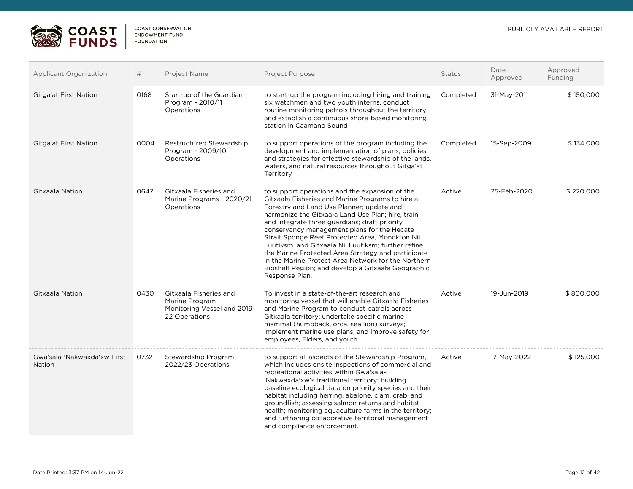

| <b>Applicant Organization</b>         | #    | Project Name                                                                               | Project Purpose                                                                                                                                                                                                                                                                                                                                                                                                                                                                                                                                                                                      | <b>Status</b> | Date<br>Approved | Approved<br>Funding |
|---------------------------------------|------|--------------------------------------------------------------------------------------------|------------------------------------------------------------------------------------------------------------------------------------------------------------------------------------------------------------------------------------------------------------------------------------------------------------------------------------------------------------------------------------------------------------------------------------------------------------------------------------------------------------------------------------------------------------------------------------------------------|---------------|------------------|---------------------|
| Gitga'at First Nation                 | 0168 | Start-up of the Guardian<br>Program - 2010/11<br>Operations                                | to start-up the program including hiring and training<br>six watchmen and two youth interns, conduct<br>routine monitoring patrols throughout the territory,<br>and establish a continuous shore-based monitoring<br>station in Caamano Sound                                                                                                                                                                                                                                                                                                                                                        | Completed     | 31-May-2011      | \$150,000           |
| Gitga'at First Nation                 | 0004 | Restructured Stewardship<br>Program - 2009/10<br>Operations                                | to support operations of the program including the<br>development and implementation of plans, policies,<br>and strategies for effective stewardship of the lands,<br>waters, and natural resources throughout Gitga'at<br>Territory                                                                                                                                                                                                                                                                                                                                                                 | Completed     | 15-Sep-2009      | \$134,000           |
| Gitxaała Nation                       | 0647 | Gitxaala Fisheries and<br>Marine Programs - 2020/21<br>Operations                          | to support operations and the expansion of the<br>Gitxaala Fisheries and Marine Programs to hire a<br>Forestry and Land Use Planner; update and<br>harmonize the Gitxaała Land Use Plan; hire, train,<br>and integrate three guardians; draft priority<br>conservancy management plans for the Hecate<br>Strait Sponge Reef Protected Area, Monckton Nii<br>Luutiksm, and Gitxaała Nii Luutiksm; further refine<br>the Marine Protected Area Strategy and participate<br>in the Marine Protect Area Network for the Northern<br>Bioshelf Region; and develop a Gitxaała Geographic<br>Response Plan. | Active        | 25-Feb-2020      | \$220,000           |
| Gitxaała Nation                       | 0430 | Gitxaała Fisheries and<br>Marine Program -<br>Monitoring Vessel and 2019-<br>22 Operations | To invest in a state-of-the-art research and<br>monitoring vessel that will enable Gitxaała Fisheries<br>and Marine Program to conduct patrols across<br>Gitxaała territory; undertake specific marine<br>mammal (humpback, orca, sea lion) surveys;<br>implement marine use plans; and improve safety for<br>employees, Elders, and youth.                                                                                                                                                                                                                                                          | Active        | 19-Jun-2019      | \$800,000           |
| Gwa'sala-'Nakwaxda'xw First<br>Nation | 0732 | Stewardship Program -<br>2022/23 Operations                                                | to support all aspects of the Stewardship Program,<br>which includes onsite inspections of commercial and<br>recreational activities within Gwa'sala-<br>'Nakwaxda'xw's traditional territory; building<br>baseline ecological data on priority species and their<br>habitat including herring, abalone, clam, crab, and<br>groundfish; assessing salmon returns and habitat<br>health; monitoring aquaculture farms in the territory;<br>and furthering collaborative territorial management<br>and compliance enforcement.                                                                         | Active        | 17-May-2022      | \$125,000           |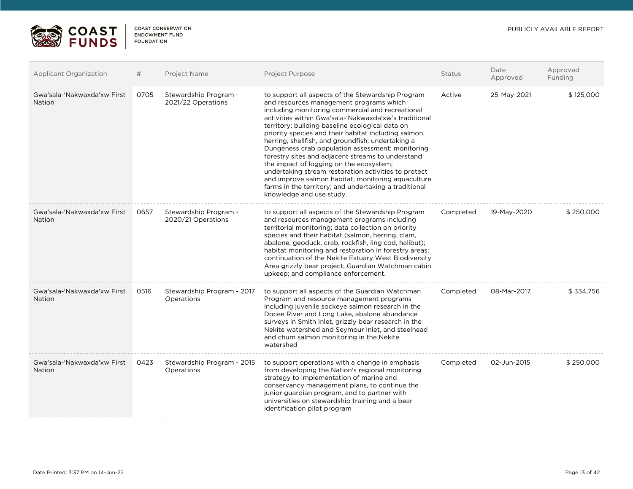



| Applicant Organization                       | #    | Project Name                                | <b>Project Purpose</b>                                                                                                                                                                                                                                                                                                                                                                                                                                                                                                                                                                                                                                                                                                           | <b>Status</b> | Date<br>Approved | Approved<br>Funding |
|----------------------------------------------|------|---------------------------------------------|----------------------------------------------------------------------------------------------------------------------------------------------------------------------------------------------------------------------------------------------------------------------------------------------------------------------------------------------------------------------------------------------------------------------------------------------------------------------------------------------------------------------------------------------------------------------------------------------------------------------------------------------------------------------------------------------------------------------------------|---------------|------------------|---------------------|
| Gwa'sala-'Nakwaxda'xw First<br><b>Nation</b> | 0705 | Stewardship Program -<br>2021/22 Operations | to support all aspects of the Stewardship Program<br>and resources management programs which<br>including monitoring commercial and recreational<br>activities within Gwa'sala-'Nakwaxda'xw's traditional<br>territory; building baseline ecological data on<br>priority species and their habitat including salmon,<br>herring, shellfish, and groundfish; undertaking a<br>Dungeness crab population assessment; monitoring<br>forestry sites and adjacent streams to understand<br>the impact of logging on the ecosystem;<br>undertaking stream restoration activities to protect<br>and improve salmon habitat; monitoring aquaculture<br>farms in the territory; and undertaking a traditional<br>knowledge and use study. | Active        | 25-May-2021      | \$125,000           |
| Gwa'sala-'Nakwaxda'xw First<br><b>Nation</b> | 0657 | Stewardship Program -<br>2020/21 Operations | to support all aspects of the Stewardship Program<br>and resources management programs including<br>territorial monitoring; data collection on priority<br>species and their habitat (salmon, herring, clam,<br>abalone, geoduck, crab, rockfish, ling cod, halibut);<br>habitat monitoring and restoration in forestry areas;<br>continuation of the Nekite Estuary West Biodiversity<br>Area grizzly bear project; Guardian Watchman cabin<br>upkeep; and compliance enforcement.                                                                                                                                                                                                                                              | Completed     | 19-May-2020      | \$250,000           |
| Gwa'sala-'Nakwaxda'xw First<br>Nation        | 0516 | Stewardship Program - 2017<br>Operations    | to support all aspects of the Guardian Watchman<br>Program and resource management programs<br>including juvenile sockeye salmon research in the<br>Docee River and Long Lake, abalone abundance<br>surveys in Smith Inlet, grizzly bear research in the<br>Nekite watershed and Seymour Inlet, and steelhead<br>and chum salmon monitoring in the Nekite<br>watershed                                                                                                                                                                                                                                                                                                                                                           | Completed     | 08-Mar-2017      | \$334,756           |
| Gwa'sala-'Nakwaxda'xw First<br>Nation        | 0423 | Stewardship Program - 2015<br>Operations    | to support operations with a change in emphasis<br>from developing the Nation's regional monitoring<br>strategy to implementation of marine and<br>conservancy management plans, to continue the<br>junior guardian program, and to partner with<br>universities on stewardship training and a bear<br>identification pilot program                                                                                                                                                                                                                                                                                                                                                                                              | Completed     | 02-Jun-2015      | \$250,000           |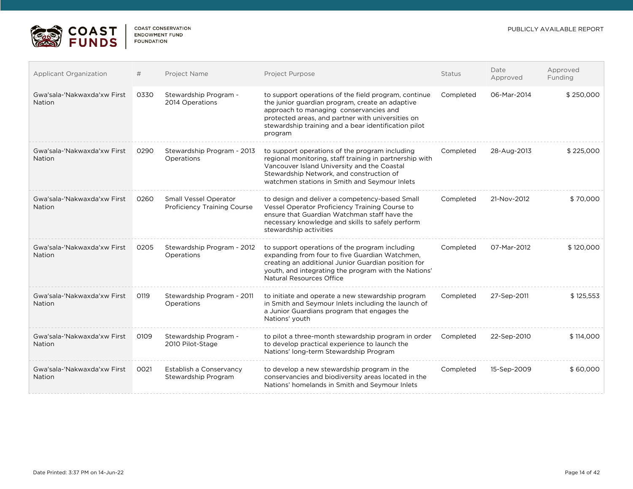

 $\mathbb{R}^n$ 

| Applicant Organization                | #    | Project Name                                                | <b>Project Purpose</b>                                                                                                                                                                                                                                                    | <b>Status</b> | Date<br>Approved | Approved<br>Funding |
|---------------------------------------|------|-------------------------------------------------------------|---------------------------------------------------------------------------------------------------------------------------------------------------------------------------------------------------------------------------------------------------------------------------|---------------|------------------|---------------------|
| Gwa'sala-'Nakwaxda'xw First<br>Nation | 0330 | Stewardship Program -<br>2014 Operations                    | to support operations of the field program, continue<br>the junior guardian program, create an adaptive<br>approach to managing conservancies and<br>protected areas, and partner with universities on<br>stewardship training and a bear identification pilot<br>program | Completed     | 06-Mar-2014      | \$250,000           |
| Gwa'sala-'Nakwaxda'xw First<br>Nation | 0290 | Stewardship Program - 2013<br>Operations                    | to support operations of the program including<br>regional monitoring, staff training in partnership with<br>Vancouver Island University and the Coastal<br>Stewardship Network, and construction of<br>watchmen stations in Smith and Seymour Inlets                     | Completed     | 28-Aug-2013      | \$225,000           |
| Gwa'sala-'Nakwaxda'xw First<br>Nation | 0260 | Small Vessel Operator<br><b>Proficiency Training Course</b> | to design and deliver a competency-based Small<br>Vessel Operator Proficiency Training Course to<br>ensure that Guardian Watchman staff have the<br>necessary knowledge and skills to safely perform<br>stewardship activities                                            | Completed     | 21-Nov-2012      | \$70,000            |
| Gwa'sala-'Nakwaxda'xw First<br>Nation | 0205 | Stewardship Program - 2012<br>Operations                    | to support operations of the program including<br>expanding from four to five Guardian Watchmen,<br>creating an additional Junior Guardian position for<br>youth, and integrating the program with the Nations'<br><b>Natural Resources Office</b>                        | Completed     | 07-Mar-2012      | \$120,000           |
| Gwa'sala-'Nakwaxda'xw First<br>Nation | 0119 | Stewardship Program - 2011<br>Operations                    | to initiate and operate a new stewardship program<br>in Smith and Seymour Inlets including the launch of<br>a Junior Guardians program that engages the<br>Nations' youth                                                                                                 | Completed     | 27-Sep-2011      | \$125,553           |
| Gwa'sala-'Nakwaxda'xw First<br>Nation | 0109 | Stewardship Program -<br>2010 Pilot-Stage                   | to pilot a three-month stewardship program in order<br>to develop practical experience to launch the<br>Nations' long-term Stewardship Program                                                                                                                            | Completed     | 22-Sep-2010      | \$114,000           |
| Gwa'sala-'Nakwaxda'xw First<br>Nation | 0021 | Establish a Conservancy<br>Stewardship Program              | to develop a new stewardship program in the<br>conservancies and biodiversity areas located in the<br>Nations' homelands in Smith and Seymour Inlets                                                                                                                      | Completed     | 15-Sep-2009      | \$60,000            |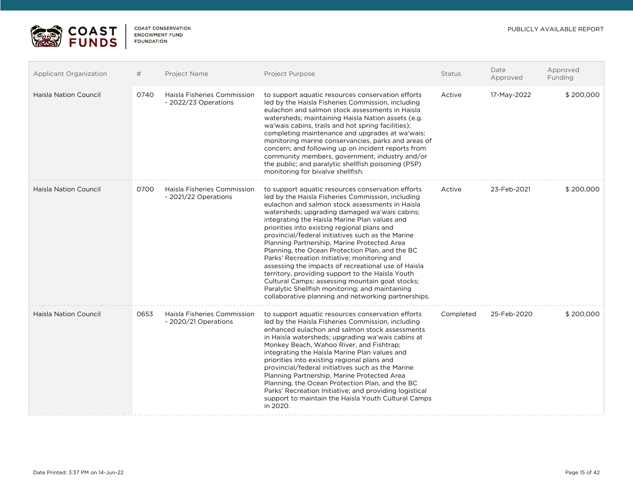

| <b>Applicant Organization</b> | #    | Project Name                                        | Project Purpose                                                                                                                                                                                                                                                                                                                                                                                                                                                                                                                                                                                                                                                                                                                                                                           | <b>Status</b> | Date<br>Approved | Approved<br>Funding |
|-------------------------------|------|-----------------------------------------------------|-------------------------------------------------------------------------------------------------------------------------------------------------------------------------------------------------------------------------------------------------------------------------------------------------------------------------------------------------------------------------------------------------------------------------------------------------------------------------------------------------------------------------------------------------------------------------------------------------------------------------------------------------------------------------------------------------------------------------------------------------------------------------------------------|---------------|------------------|---------------------|
| <b>Haisla Nation Council</b>  | 0740 | Haisla Fisheries Commission<br>- 2022/23 Operations | to support aquatic resources conservation efforts<br>led by the Haisla Fisheries Commission, including<br>eulachon and salmon stock assessments in Haisla<br>watersheds; maintaining Haisla Nation assets (e.g.<br>wa'wais cabins, trails and hot spring facilities);<br>completing maintenance and upgrades at wa'wais;<br>monitoring marine conservancies, parks and areas of<br>concern; and following up on incident reports from<br>community members, government, industry and/or<br>the public; and paralytic shellfish poisoning (PSP)<br>monitoring for bivalve shellfish.                                                                                                                                                                                                       | Active        | 17-May-2022      | \$200,000           |
| <b>Haisla Nation Council</b>  | 0700 | Haisla Fisheries Commission<br>- 2021/22 Operations | to support aquatic resources conservation efforts<br>led by the Haisla Fisheries Commission, including<br>eulachon and salmon stock assessments in Haisla<br>watersheds; upgrading damaged wa'wais cabins;<br>integrating the Haisla Marine Plan values and<br>priorities into existing regional plans and<br>provincial/federal initiatives such as the Marine<br>Planning Partnership, Marine Protected Area<br>Planning, the Ocean Protection Plan, and the BC<br>Parks' Recreation Initiative; monitoring and<br>assessing the impacts of recreational use of Haisla<br>territory, providing support to the Haisla Youth<br>Cultural Camps; assessing mountain goat stocks;<br>Paralytic Shellfish monitoring; and maintaining<br>collaborative planning and networking partnerships. | Active        | 23-Feb-2021      | \$200,000           |
| <b>Haisla Nation Council</b>  | 0653 | Haisla Fisheries Commission<br>- 2020/21 Operations | to support aquatic resources conservation efforts<br>led by the Haisla Fisheries Commission, including<br>enhanced eulachon and salmon stock assessments<br>in Haisla watersheds; upgrading wa'wais cabins at<br>Monkey Beach, Wahoo River, and Fishtrap;<br>integrating the Haisla Marine Plan values and<br>priorities into existing regional plans and<br>provincial/federal initiatives such as the Marine<br>Planning Partnership, Marine Protected Area<br>Planning, the Ocean Protection Plan, and the BC<br>Parks' Recreation Initiative; and providing logistical<br>support to maintain the Haisla Youth Cultural Camps<br>in 2020.                                                                                                                                             | Completed     | 25-Feb-2020      | \$200,000           |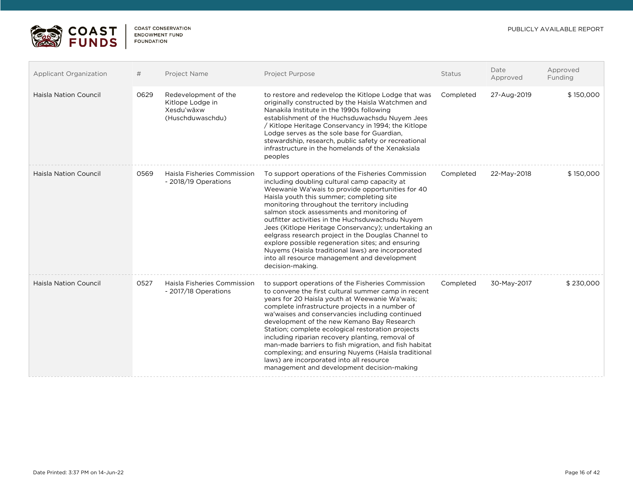

| Applicant Organization       | #    | Project Name                                                               | <b>Project Purpose</b>                                                                                                                                                                                                                                                                                                                                                                                                                                                                                                                                                                                                                            | <b>Status</b> | Date<br>Approved | Approved<br>Funding |
|------------------------------|------|----------------------------------------------------------------------------|---------------------------------------------------------------------------------------------------------------------------------------------------------------------------------------------------------------------------------------------------------------------------------------------------------------------------------------------------------------------------------------------------------------------------------------------------------------------------------------------------------------------------------------------------------------------------------------------------------------------------------------------------|---------------|------------------|---------------------|
| Haisla Nation Council        | 0629 | Redevelopment of the<br>Kitlope Lodge in<br>Xesdu'wäxw<br>(Huschduwaschdu) | to restore and redevelop the Kitlope Lodge that was<br>originally constructed by the Haisla Watchmen and<br>Nanakila Institute in the 1990s following<br>establishment of the Huchsduwachsdu Nuyem Jees<br>/ Kitlope Heritage Conservancy in 1994; the Kitlope<br>Lodge serves as the sole base for Guardian,<br>stewardship, research, public safety or recreational<br>infrastructure in the homelands of the Xenaksiala<br>peoples                                                                                                                                                                                                             | Completed     | 27-Aug-2019      | \$150,000           |
| Haisla Nation Council        | 0569 | Haisla Fisheries Commission<br>- 2018/19 Operations                        | To support operations of the Fisheries Commission<br>including doubling cultural camp capacity at<br>Weewanie Wa'wais to provide opportunities for 40<br>Haisla youth this summer; completing site<br>monitoring throughout the territory including<br>salmon stock assessments and monitoring of<br>outfitter activities in the Huchsduwachsdu Nuyem<br>Jees (Kitlope Heritage Conservancy); undertaking an<br>eelgrass research project in the Douglas Channel to<br>explore possible regeneration sites; and ensuring<br>Nuyems (Haisla traditional laws) are incorporated<br>into all resource management and development<br>decision-making. | Completed     | 22-May-2018      | \$150,000           |
| <b>Haisla Nation Council</b> | 0527 | <b>Haisla Fisheries Commission</b><br>- 2017/18 Operations                 | to support operations of the Fisheries Commission<br>to convene the first cultural summer camp in recent<br>years for 20 Haisla youth at Weewanie Wa'wais;<br>complete infrastructure projects in a number of<br>wa'waises and conservancies including continued<br>development of the new Kemano Bay Research<br>Station; complete ecological restoration projects<br>including riparian recovery planting, removal of<br>man-made barriers to fish migration, and fish habitat<br>complexing; and ensuring Nuyems (Haisla traditional<br>laws) are incorporated into all resource<br>management and development decision-making                 | Completed     | 30-May-2017      | \$230,000           |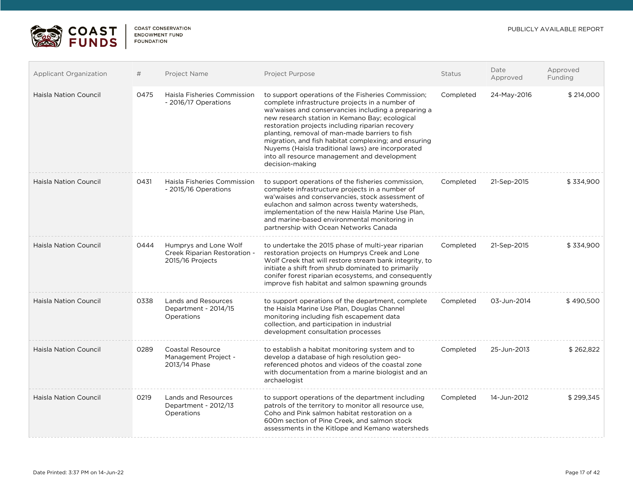**ES COAST** 

| Applicant Organization       | #    | <b>Project Name</b>                                                       | <b>Project Purpose</b>                                                                                                                                                                                                                                                                                                                                                                                                                                                                               | <b>Status</b> | Date<br>Approved | Approved<br>Funding |
|------------------------------|------|---------------------------------------------------------------------------|------------------------------------------------------------------------------------------------------------------------------------------------------------------------------------------------------------------------------------------------------------------------------------------------------------------------------------------------------------------------------------------------------------------------------------------------------------------------------------------------------|---------------|------------------|---------------------|
| <b>Haisla Nation Council</b> | 0475 | Haisla Fisheries Commission<br>- 2016/17 Operations                       | to support operations of the Fisheries Commission;<br>complete infrastructure projects in a number of<br>wa'waises and conservancies including a preparing a<br>new research station in Kemano Bay; ecological<br>restoration projects including riparian recovery<br>planting, removal of man-made barriers to fish<br>migration, and fish habitat complexing; and ensuring<br>Nuyems (Haisla traditional laws) are incorporated<br>into all resource management and development<br>decision-making | Completed     | 24-May-2016      | \$214,000           |
| Haisla Nation Council        | 0431 | Haisla Fisheries Commission<br>- 2015/16 Operations                       | to support operations of the fisheries commission,<br>complete infrastructure projects in a number of<br>wa'waises and conservancies, stock assessment of<br>eulachon and salmon across twenty watersheds,<br>implementation of the new Haisla Marine Use Plan,<br>and marine-based environmental monitoring in<br>partnership with Ocean Networks Canada                                                                                                                                            | Completed     | 21-Sep-2015      | \$334,900           |
| Haisla Nation Council        | 0444 | Humprys and Lone Wolf<br>Creek Riparian Restoration -<br>2015/16 Projects | to undertake the 2015 phase of multi-year riparian<br>restoration projects on Humprys Creek and Lone<br>Wolf Creek that will restore stream bank integrity, to<br>initiate a shift from shrub dominated to primarily<br>conifer forest riparian ecosystems, and consequently<br>improve fish habitat and salmon spawning grounds                                                                                                                                                                     | Completed     | 21-Sep-2015      | \$334,900           |
| <b>Haisla Nation Council</b> | 0338 | <b>Lands and Resources</b><br>Department - 2014/15<br>Operations          | to support operations of the department, complete<br>the Haisla Marine Use Plan, Douglas Channel<br>monitoring including fish escapement data<br>collection, and participation in industrial<br>development consultation processes                                                                                                                                                                                                                                                                   | Completed     | 03-Jun-2014      | \$490,500           |
| <b>Haisla Nation Council</b> | 0289 | Coastal Resource<br>Management Project -<br>2013/14 Phase                 | to establish a habitat monitoring system and to<br>develop a database of high resolution geo-<br>referenced photos and videos of the coastal zone<br>with documentation from a marine biologist and an<br>archaelogist                                                                                                                                                                                                                                                                               | Completed     | 25-Jun-2013      | \$262,822           |
| <b>Haisla Nation Council</b> | 0219 | Lands and Resources<br>Department - 2012/13<br>Operations                 | to support operations of the department including<br>patrols of the territory to monitor all resource use.<br>Coho and Pink salmon habitat restoration on a<br>600m section of Pine Creek, and salmon stock<br>assessments in the Kitlope and Kemano watersheds                                                                                                                                                                                                                                      | Completed     | 14-Jun-2012      | \$299,345           |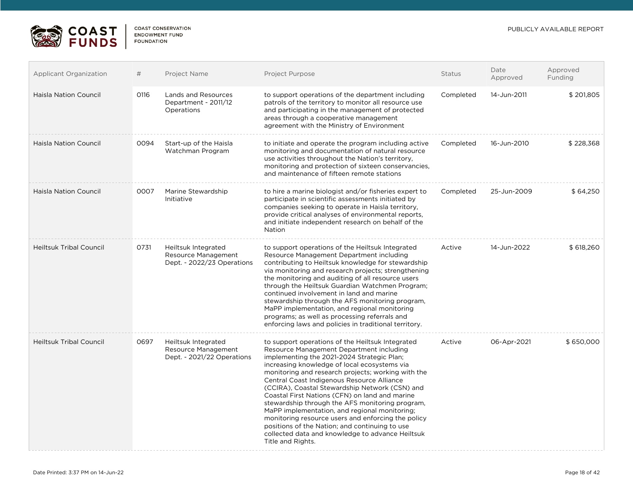

| Applicant Organization         | #    | Project Name                                                             | <b>Project Purpose</b>                                                                                                                                                                                                                                                                                                                                                                                                                                                                                                                                                                                                                                                                  | Status    | Date<br>Approved | Approved<br>Funding |
|--------------------------------|------|--------------------------------------------------------------------------|-----------------------------------------------------------------------------------------------------------------------------------------------------------------------------------------------------------------------------------------------------------------------------------------------------------------------------------------------------------------------------------------------------------------------------------------------------------------------------------------------------------------------------------------------------------------------------------------------------------------------------------------------------------------------------------------|-----------|------------------|---------------------|
| <b>Haisla Nation Council</b>   | 0116 | <b>Lands and Resources</b><br>Department - 2011/12<br>Operations         | to support operations of the department including<br>patrols of the territory to monitor all resource use<br>and participating in the management of protected<br>areas through a cooperative management<br>agreement with the Ministry of Environment                                                                                                                                                                                                                                                                                                                                                                                                                                   | Completed | 14-Jun-2011      | \$201,805           |
| Haisla Nation Council          | 0094 | Start-up of the Haisla<br>Watchman Program                               | to initiate and operate the program including active<br>monitoring and documentation of natural resource<br>use activities throughout the Nation's territory,<br>monitoring and protection of sixteen conservancies.<br>and maintenance of fifteen remote stations                                                                                                                                                                                                                                                                                                                                                                                                                      | Completed | 16-Jun-2010      | \$228,368           |
| <b>Haisla Nation Council</b>   | 0007 | Marine Stewardship<br>Initiative                                         | to hire a marine biologist and/or fisheries expert to<br>participate in scientific assessments initiated by<br>companies seeking to operate in Haisla territory,<br>provide critical analyses of environmental reports,<br>and initiate independent research on behalf of the<br><b>Nation</b>                                                                                                                                                                                                                                                                                                                                                                                          | Completed | 25-Jun-2009      | \$64,250            |
| <b>Heiltsuk Tribal Council</b> | 0731 | Heiltsuk Integrated<br>Resource Management<br>Dept. - 2022/23 Operations | to support operations of the Heiltsuk Integrated<br>Resource Management Department including<br>contributing to Heiltsuk knowledge for stewardship<br>via monitoring and research projects; strengthening<br>the monitoring and auditing of all resource users<br>through the Heiltsuk Guardian Watchmen Program;<br>continued involvement in land and marine<br>stewardship through the AFS monitoring program,<br>MaPP implementation, and regional monitoring<br>programs; as well as processing referrals and<br>enforcing laws and policies in traditional territory.                                                                                                              | Active    | 14-Jun-2022      | \$618,260           |
| <b>Heiltsuk Tribal Council</b> | 0697 | Heiltsuk Integrated<br>Resource Management<br>Dept. - 2021/22 Operations | to support operations of the Heiltsuk Integrated<br>Resource Management Department including<br>implementing the 2021-2024 Strategic Plan;<br>increasing knowledge of local ecosystems via<br>monitoring and research projects; working with the<br>Central Coast Indigenous Resource Alliance<br>(CCIRA), Coastal Stewardship Network (CSN) and<br>Coastal First Nations (CFN) on land and marine<br>stewardship through the AFS monitoring program,<br>MaPP implementation, and regional monitoring;<br>monitoring resource users and enforcing the policy<br>positions of the Nation; and continuing to use<br>collected data and knowledge to advance Heiltsuk<br>Title and Rights. | Active    | 06-Apr-2021      | \$650,000           |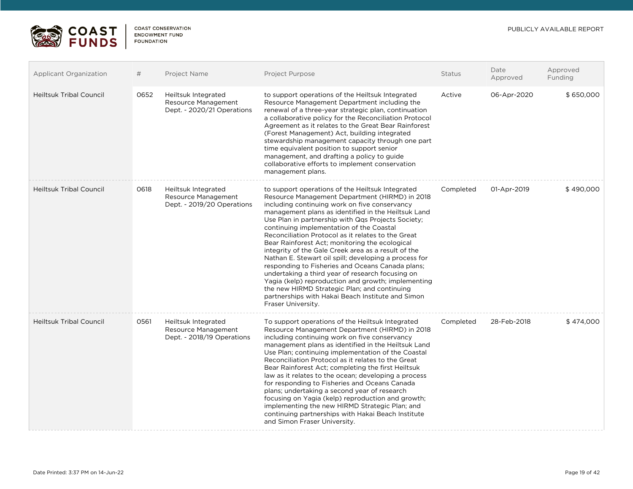

| <b>Applicant Organization</b>  | #    | Project Name                                                             | <b>Project Purpose</b>                                                                                                                                                                                                                                                                                                                                                                                                                                                                                                                                                                                                                                                                                                                                                                                                        | <b>Status</b> | Date<br>Approved | Approved<br>Funding |
|--------------------------------|------|--------------------------------------------------------------------------|-------------------------------------------------------------------------------------------------------------------------------------------------------------------------------------------------------------------------------------------------------------------------------------------------------------------------------------------------------------------------------------------------------------------------------------------------------------------------------------------------------------------------------------------------------------------------------------------------------------------------------------------------------------------------------------------------------------------------------------------------------------------------------------------------------------------------------|---------------|------------------|---------------------|
| <b>Heiltsuk Tribal Council</b> | 0652 | Heiltsuk Integrated<br>Resource Management<br>Dept. - 2020/21 Operations | to support operations of the Heiltsuk Integrated<br>Resource Management Department including the<br>renewal of a three-year strategic plan, continuation<br>a collaborative policy for the Reconciliation Protocol<br>Agreement as it relates to the Great Bear Rainforest<br>(Forest Management) Act, building integrated<br>stewardship management capacity through one part<br>time equivalent position to support senior<br>management, and drafting a policy to guide<br>collaborative efforts to implement conservation<br>management plans.                                                                                                                                                                                                                                                                            | Active        | 06-Apr-2020      | \$650,000           |
| <b>Heiltsuk Tribal Council</b> | 0618 | Heiltsuk Integrated<br>Resource Management<br>Dept. - 2019/20 Operations | to support operations of the Heiltsuk Integrated<br>Resource Management Department (HIRMD) in 2018<br>including continuing work on five conservancy<br>management plans as identified in the Heiltsuk Land<br>Use Plan in partnership with Qqs Projects Society;<br>continuing implementation of the Coastal<br>Reconciliation Protocol as it relates to the Great<br>Bear Rainforest Act; monitoring the ecological<br>integrity of the Gale Creek area as a result of the<br>Nathan E. Stewart oil spill; developing a process for<br>responding to Fisheries and Oceans Canada plans;<br>undertaking a third year of research focusing on<br>Yagia (kelp) reproduction and growth; implementing<br>the new HIRMD Strategic Plan; and continuing<br>partnerships with Hakai Beach Institute and Simon<br>Fraser University. | Completed     | 01-Apr-2019      | \$490,000           |
| <b>Heiltsuk Tribal Council</b> | 0561 | Heiltsuk Integrated<br>Resource Management<br>Dept. - 2018/19 Operations | To support operations of the Heiltsuk Integrated<br>Resource Management Department (HIRMD) in 2018<br>including continuing work on five conservancy<br>management plans as identified in the Heiltsuk Land<br>Use Plan; continuing implementation of the Coastal<br>Reconciliation Protocol as it relates to the Great<br>Bear Rainforest Act; completing the first Heiltsuk<br>law as it relates to the ocean; developing a process<br>for responding to Fisheries and Oceans Canada<br>plans; undertaking a second year of research<br>focusing on Yagia (kelp) reproduction and growth;<br>implementing the new HIRMD Strategic Plan; and<br>continuing partnerships with Hakai Beach Institute<br>and Simon Fraser University.                                                                                            | Completed     | 28-Feb-2018      | \$474,000           |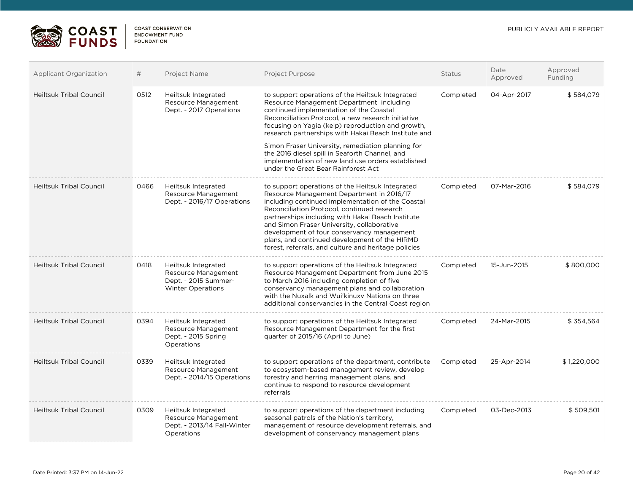

| <b>Applicant Organization</b>  | #    | Project Name                                                                                   | Project Purpose                                                                                                                                                                                                                                                                                                                                                                                                                                                                                               | <b>Status</b> | Date<br>Approved | Approved<br>Funding |
|--------------------------------|------|------------------------------------------------------------------------------------------------|---------------------------------------------------------------------------------------------------------------------------------------------------------------------------------------------------------------------------------------------------------------------------------------------------------------------------------------------------------------------------------------------------------------------------------------------------------------------------------------------------------------|---------------|------------------|---------------------|
| <b>Heiltsuk Tribal Council</b> | 0512 | Heiltsuk Integrated<br>Resource Management<br>Dept. - 2017 Operations                          | to support operations of the Heiltsuk Integrated<br>Resource Management Department including<br>continued implementation of the Coastal<br>Reconciliation Protocol, a new research initiative<br>focusing on Yagia (kelp) reproduction and growth,<br>research partnerships with Hakai Beach Institute and<br>Simon Fraser University, remediation planning for<br>the 2016 diesel spill in Seaforth Channel, and<br>implementation of new land use orders established<br>under the Great Bear Rainforest Act | Completed     | 04-Apr-2017      | \$584,079           |
| <b>Heiltsuk Tribal Council</b> | 0466 | Heiltsuk Integrated<br>Resource Management<br>Dept. - 2016/17 Operations                       | to support operations of the Heiltsuk Integrated<br>Resource Management Department in 2016/17<br>including continued implementation of the Coastal<br>Reconciliation Protocol, continued research<br>partnerships including with Hakai Beach Institute<br>and Simon Fraser University, collaborative<br>development of four conservancy management<br>plans, and continued development of the HIRMD<br>forest, referrals, and culture and heritage policies                                                   | Completed     | 07-Mar-2016      | \$584,079           |
| <b>Heiltsuk Tribal Council</b> | 0418 | Heiltsuk Integrated<br>Resource Management<br>Dept. - 2015 Summer-<br><b>Winter Operations</b> | to support operations of the Heiltsuk Integrated<br>Resource Management Department from June 2015<br>to March 2016 including completion of five<br>conservancy management plans and collaboration<br>with the Nuxalk and Wui'kinuxy Nations on three<br>additional conservancies in the Central Coast region                                                                                                                                                                                                  | Completed     | 15-Jun-2015      | \$800,000           |
| <b>Heiltsuk Tribal Council</b> | 0394 | Heiltsuk Integrated<br>Resource Management<br>Dept. - 2015 Spring<br>Operations                | to support operations of the Heiltsuk Integrated<br>Resource Management Department for the first<br>quarter of 2015/16 (April to June)                                                                                                                                                                                                                                                                                                                                                                        | Completed     | 24-Mar-2015      | \$354,564           |
| <b>Heiltsuk Tribal Council</b> | 0339 | Heiltsuk Integrated<br>Resource Management<br>Dept. - 2014/15 Operations                       | to support operations of the department, contribute<br>to ecosystem-based management review, develop<br>forestry and herring management plans, and<br>continue to respond to resource development<br>referrals                                                                                                                                                                                                                                                                                                | Completed     | 25-Apr-2014      | \$1,220,000         |
| <b>Heiltsuk Tribal Council</b> | 0309 | Heiltsuk Integrated<br>Resource Management<br>Dept. - 2013/14 Fall-Winter<br>Operations        | to support operations of the department including<br>seasonal patrols of the Nation's territory.<br>management of resource development referrals, and<br>development of conservancy management plans                                                                                                                                                                                                                                                                                                          | Completed     | 03-Dec-2013      | \$509,501           |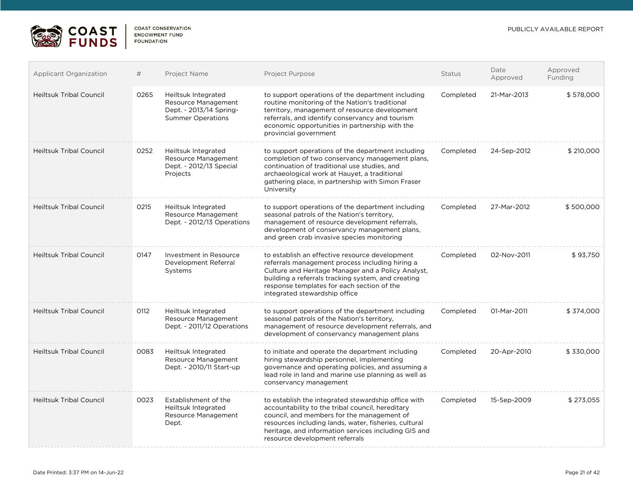

| <b>Applicant Organization</b>  | #    | Project Name                                                                                      | <b>Project Purpose</b>                                                                                                                                                                                                                                                                                   | <b>Status</b> | Date<br>Approved | Approved<br>Funding |
|--------------------------------|------|---------------------------------------------------------------------------------------------------|----------------------------------------------------------------------------------------------------------------------------------------------------------------------------------------------------------------------------------------------------------------------------------------------------------|---------------|------------------|---------------------|
| <b>Heiltsuk Tribal Council</b> | 0265 | Heiltsuk Integrated<br>Resource Management<br>Dept. - 2013/14 Spring-<br><b>Summer Operations</b> | to support operations of the department including<br>routine monitoring of the Nation's traditional<br>territory, management of resource development<br>referrals, and identify conservancy and tourism<br>economic opportunities in partnership with the<br>provincial government                       | Completed     | 21-Mar-2013      | \$578,000           |
| <b>Heiltsuk Tribal Council</b> | 0252 | Heiltsuk Integrated<br>Resource Management<br>Dept. - 2012/13 Special<br>Projects                 | to support operations of the department including<br>completion of two conservancy management plans,<br>continuation of traditional use studies, and<br>archaeological work at Hauyet, a traditional<br>gathering place, in partnership with Simon Fraser<br>University                                  | Completed     | 24-Sep-2012      | \$210,000           |
| <b>Heiltsuk Tribal Council</b> | 0215 | Heiltsuk Integrated<br>Resource Management<br>Dept. - 2012/13 Operations                          | to support operations of the department including<br>seasonal patrols of the Nation's territory,<br>management of resource development referrals,<br>development of conservancy management plans,<br>and green crab invasive species monitoring                                                          | Completed     | 27-Mar-2012      | \$500,000           |
| <b>Heiltsuk Tribal Council</b> | 0147 | Investment in Resource<br>Development Referral<br>Systems                                         | to establish an effective resource development<br>referrals management process including hiring a<br>Culture and Heritage Manager and a Policy Analyst,<br>building a referrals tracking system, and creating<br>response templates for each section of the<br>integrated stewardship office             | Completed     | 02-Nov-2011      | \$93,750            |
| <b>Heiltsuk Tribal Council</b> | 0112 | Heiltsuk Integrated<br>Resource Management<br>Dept. - 2011/12 Operations                          | to support operations of the department including<br>seasonal patrols of the Nation's territory,<br>management of resource development referrals, and<br>development of conservancy management plans                                                                                                     | Completed     | 01-Mar-2011      | \$374,000           |
| <b>Heiltsuk Tribal Council</b> | 0083 | Heiltsuk Integrated<br>Resource Management<br>Dept. - 2010/11 Start-up                            | to initiate and operate the department including<br>hiring stewardship personnel, implementing<br>governance and operating policies, and assuming a<br>lead role in land and marine use planning as well as<br>conservancy management                                                                    | Completed     | 20-Apr-2010      | \$330,000           |
| <b>Heiltsuk Tribal Council</b> | 0023 | Establishment of the<br>Heiltsuk Integrated<br>Resource Management<br>Dept.                       | to establish the integrated stewardship office with<br>accountability to the tribal council, hereditary<br>council, and members for the management of<br>resources including lands, water, fisheries, cultural<br>heritage, and information services including GIS and<br>resource development referrals | Completed     | 15-Sep-2009      | \$273,055           |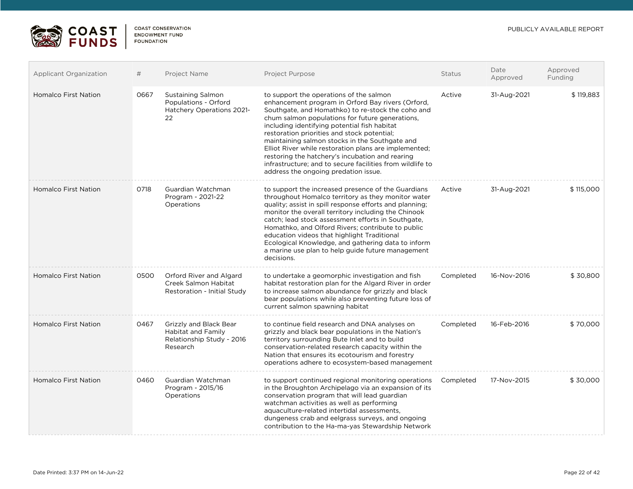

| <b>Applicant Organization</b> | #    | Project Name                                                                          | <b>Project Purpose</b>                                                                                                                                                                                                                                                                                                                                                                                                                                                                                                                                                 | <b>Status</b> | Date<br>Approved | Approved<br>Funding |
|-------------------------------|------|---------------------------------------------------------------------------------------|------------------------------------------------------------------------------------------------------------------------------------------------------------------------------------------------------------------------------------------------------------------------------------------------------------------------------------------------------------------------------------------------------------------------------------------------------------------------------------------------------------------------------------------------------------------------|---------------|------------------|---------------------|
| <b>Homalco First Nation</b>   | 0667 | Sustaining Salmon<br>Populations - Orford<br>Hatchery Operations 2021-<br>22          | to support the operations of the salmon<br>enhancement program in Orford Bay rivers (Orford,<br>Southgate, and Homathko) to re-stock the coho and<br>chum salmon populations for future generations,<br>including identifying potential fish habitat<br>restoration priorities and stock potential;<br>maintaining salmon stocks in the Southgate and<br>Elliot River while restoration plans are implemented;<br>restoring the hatchery's incubation and rearing<br>infrastructure; and to secure facilities from wildlife to<br>address the ongoing predation issue. | Active        | 31-Aug-2021      | \$119,883           |
| <b>Homalco First Nation</b>   | 0718 | Guardian Watchman<br>Program - 2021-22<br>Operations                                  | to support the increased presence of the Guardians<br>throughout Homalco territory as they monitor water<br>quality; assist in spill response efforts and planning;<br>monitor the overall territory including the Chinook<br>catch; lead stock assessment efforts in Southgate,<br>Homathko, and Olford Rivers; contribute to public<br>education videos that highlight Traditional<br>Ecological Knowledge, and gathering data to inform<br>a marine use plan to help guide future management<br>decisions.                                                          | Active        | 31-Aug-2021      | \$115,000           |
| Homalco First Nation          | 0500 | Orford River and Algard<br>Creek Salmon Habitat<br>Restoration - Initial Study        | to undertake a geomorphic investigation and fish<br>habitat restoration plan for the Algard River in order<br>to increase salmon abundance for grizzly and black<br>bear populations while also preventing future loss of<br>current salmon spawning habitat                                                                                                                                                                                                                                                                                                           | Completed     | 16-Nov-2016      | \$30,800            |
| <b>Homalco First Nation</b>   | 0467 | Grizzly and Black Bear<br>Habitat and Family<br>Relationship Study - 2016<br>Research | to continue field research and DNA analyses on<br>grizzly and black bear populations in the Nation's<br>territory surrounding Bute Inlet and to build<br>conservation-related research capacity within the<br>Nation that ensures its ecotourism and forestry<br>operations adhere to ecosystem-based management                                                                                                                                                                                                                                                       | Completed     | 16-Feb-2016      | \$70,000            |
| <b>Homalco First Nation</b>   | 0460 | Guardian Watchman<br>Program - 2015/16<br>Operations                                  | to support continued regional monitoring operations<br>in the Broughton Archipelago via an expansion of its<br>conservation program that will lead guardian<br>watchman activities as well as performing<br>aquaculture-related intertidal assessments.<br>dungeness crab and eelgrass surveys, and ongoing<br>contribution to the Ha-ma-yas Stewardship Network                                                                                                                                                                                                       | Completed     | 17-Nov-2015      | \$30,000            |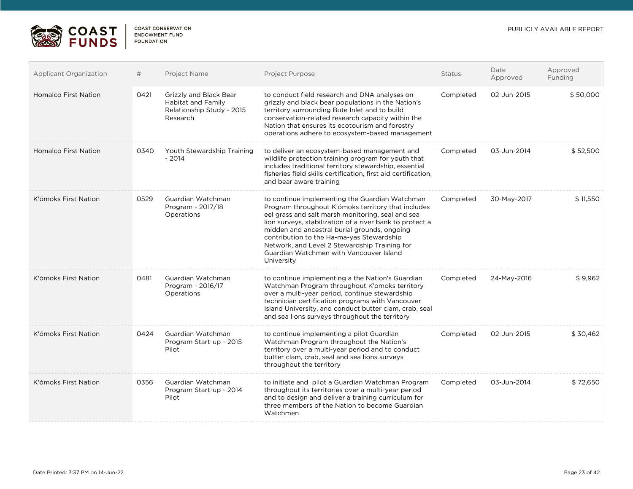

П

| <b>Applicant Organization</b> | #    | Project Name                                                                          | <b>Project Purpose</b>                                                                                                                                                                                                                                                                                                                                                                                                       | <b>Status</b> | Date<br>Approved | Approved<br>Funding |
|-------------------------------|------|---------------------------------------------------------------------------------------|------------------------------------------------------------------------------------------------------------------------------------------------------------------------------------------------------------------------------------------------------------------------------------------------------------------------------------------------------------------------------------------------------------------------------|---------------|------------------|---------------------|
| <b>Homalco First Nation</b>   | 0421 | Grizzly and Black Bear<br>Habitat and Family<br>Relationship Study - 2015<br>Research | to conduct field research and DNA analyses on<br>grizzly and black bear populations in the Nation's<br>territory surrounding Bute Inlet and to build<br>conservation-related research capacity within the<br>Nation that ensures its ecotourism and forestry<br>operations adhere to ecosystem-based management                                                                                                              | Completed     | 02-Jun-2015      | \$50,000            |
| <b>Homalco First Nation</b>   | 0340 | Youth Stewardship Training<br>$-2014$                                                 | to deliver an ecosystem-based management and<br>wildlife protection training program for youth that<br>includes traditional territory stewardship, essential<br>fisheries field skills certification, first aid certification,<br>and bear aware training                                                                                                                                                                    | Completed     | 03-Jun-2014      | \$52,500            |
| K'ómoks First Nation          | 0529 | Guardian Watchman<br>Program - 2017/18<br>Operations                                  | to continue implementing the Guardian Watchman<br>Program throughout K'ómoks territory that includes<br>eel grass and salt marsh monitoring, seal and sea<br>lion surveys, stabilization of a river bank to protect a<br>midden and ancestral burial grounds, ongoing<br>contribution to the Ha-ma-yas Stewardship<br>Network, and Level 2 Stewardship Training for<br>Guardian Watchmen with Vancouver Island<br>University | Completed     | 30-May-2017      | \$11.550            |
| K'ómoks First Nation          | 0481 | Guardian Watchman<br>Program - 2016/17<br>Operations                                  | to continue implementing a the Nation's Guardian<br>Watchman Program throughout K'omoks territory<br>over a multi-year period, continue stewardship<br>technician certification programs with Vancouver<br>Island University, and conduct butter clam, crab, seal<br>and sea lions surveys throughout the territory                                                                                                          | Completed     | 24-May-2016      | \$9,962             |
| K'ómoks First Nation          | 0424 | Guardian Watchman<br>Program Start-up - 2015<br>Pilot                                 | to continue implementing a pilot Guardian<br>Watchman Program throughout the Nation's<br>territory over a multi-year period and to conduct<br>butter clam, crab, seal and sea lions surveys<br>throughout the territory                                                                                                                                                                                                      | Completed     | 02-Jun-2015      | \$30,462            |
| K'ómoks First Nation          | 0356 | Guardian Watchman<br>Program Start-up - 2014<br>Pilot                                 | to initiate and pilot a Guardian Watchman Program<br>throughout its territories over a multi-year period<br>and to design and deliver a training curriculum for<br>three members of the Nation to become Guardian<br>Watchmen                                                                                                                                                                                                | Completed     | 03-Jun-2014      | \$72,650            |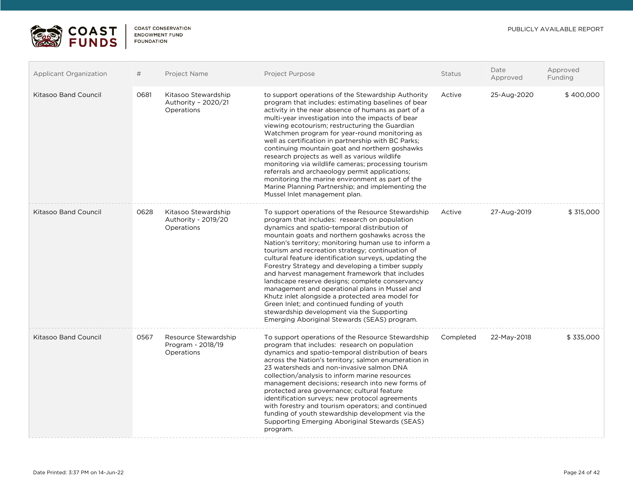



| <b>Applicant Organization</b> | #    | Project Name                                             | Project Purpose                                                                                                                                                                                                                                                                                                                                                                                                                                                                                                                                                                                                                                                                                                                                                                        | Status    | Date<br>Approved | Approved<br>Funding |
|-------------------------------|------|----------------------------------------------------------|----------------------------------------------------------------------------------------------------------------------------------------------------------------------------------------------------------------------------------------------------------------------------------------------------------------------------------------------------------------------------------------------------------------------------------------------------------------------------------------------------------------------------------------------------------------------------------------------------------------------------------------------------------------------------------------------------------------------------------------------------------------------------------------|-----------|------------------|---------------------|
| Kitasoo Band Council          | 0681 | Kitasoo Stewardship<br>Authority - 2020/21<br>Operations | to support operations of the Stewardship Authority<br>program that includes: estimating baselines of bear<br>activity in the near absence of humans as part of a<br>multi-year investigation into the impacts of bear<br>viewing ecotourism; restructuring the Guardian<br>Watchmen program for year-round monitoring as<br>well as certification in partnership with BC Parks;<br>continuing mountain goat and northern goshawks<br>research projects as well as various wildlife<br>monitoring via wildlife cameras; processing tourism<br>referrals and archaeology permit applications;<br>monitoring the marine environment as part of the<br>Marine Planning Partnership; and implementing the<br>Mussel Inlet management plan.                                                  | Active    | 25-Aug-2020      | \$400,000           |
| Kitasoo Band Council          | 0628 | Kitasoo Stewardship<br>Authority - 2019/20<br>Operations | To support operations of the Resource Stewardship<br>program that includes: research on population<br>dynamics and spatio-temporal distribution of<br>mountain goats and northern goshawks across the<br>Nation's territory; monitoring human use to inform a<br>tourism and recreation strategy; continuation of<br>cultural feature identification surveys, updating the<br>Forestry Strategy and developing a timber supply<br>and harvest management framework that includes<br>landscape reserve designs; complete conservancy<br>management and operational plans in Mussel and<br>Khutz inlet alongside a protected area model for<br>Green Inlet; and continued funding of youth<br>stewardship development via the Supporting<br>Emerging Aboriginal Stewards (SEAS) program. | Active    | 27-Aug-2019      | \$315,000           |
| <b>Kitasoo Band Council</b>   | 0567 | Resource Stewardship<br>Program - 2018/19<br>Operations  | To support operations of the Resource Stewardship<br>program that includes: research on population<br>dynamics and spatio-temporal distribution of bears<br>across the Nation's territory; salmon enumeration in<br>23 watersheds and non-invasive salmon DNA<br>collection/analysis to inform marine resources<br>management decisions; research into new forms of<br>protected area governance; cultural feature<br>identification surveys; new protocol agreements<br>with forestry and tourism operators; and continued<br>funding of youth stewardship development via the<br>Supporting Emerging Aboriginal Stewards (SEAS)<br>program.                                                                                                                                          | Completed | 22-May-2018      | \$335,000           |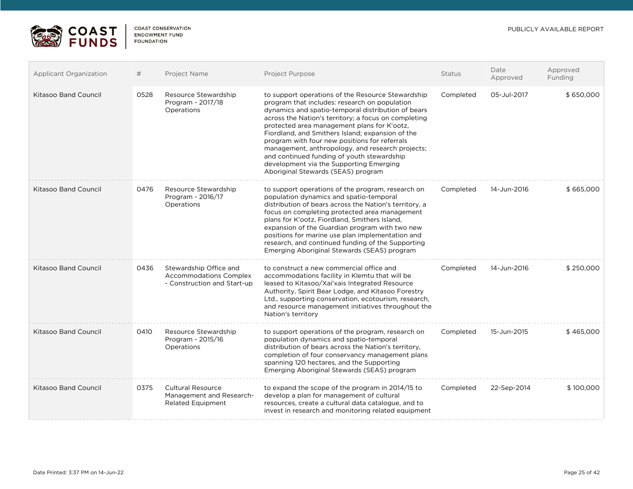

| <b>Applicant Organization</b> | #    | Project Name                                                                           | Project Purpose                                                                                                                                                                                                                                                                                                                                                                                                                                                                                                                                         | <b>Status</b> | Date<br>Approved | Approved<br>Funding |
|-------------------------------|------|----------------------------------------------------------------------------------------|---------------------------------------------------------------------------------------------------------------------------------------------------------------------------------------------------------------------------------------------------------------------------------------------------------------------------------------------------------------------------------------------------------------------------------------------------------------------------------------------------------------------------------------------------------|---------------|------------------|---------------------|
| <b>Kitasoo Band Council</b>   | 0528 | Resource Stewardship<br>Program - 2017/18<br>Operations                                | to support operations of the Resource Stewardship<br>program that includes: research on population<br>dynamics and spatio-temporal distribution of bears<br>across the Nation's territory; a focus on completing<br>protected area management plans for K'ootz,<br>Fiordland, and Smithers Island; expansion of the<br>program with four new positions for referrals<br>management, anthropology, and research projects;<br>and continued funding of youth stewardship<br>development via the Supporting Emerging<br>Aboriginal Stewards (SEAS) program | Completed     | 05-Jul-2017      | \$650,000           |
| <b>Kitasoo Band Council</b>   | 0476 | Resource Stewardship<br>Program - 2016/17<br>Operations                                | to support operations of the program, research on<br>population dynamics and spatio-temporal<br>distribution of bears across the Nation's territory, a<br>focus on completing protected area management<br>plans for K'ootz, Fiordland, Smithers Island,<br>expansion of the Guardian program with two new<br>positions for marine use plan implementation and<br>research, and continued funding of the Supporting<br>Emerging Aboriginal Stewards (SEAS) program                                                                                      | Completed     | 14-Jun-2016      | \$665,000           |
| <b>Kitasoo Band Council</b>   | 0436 | Stewardship Office and<br><b>Accommodations Complex</b><br>- Construction and Start-up | to construct a new commercial office and<br>accommodations facility in Klemtu that will be<br>leased to Kitasoo/Xai'xais Integrated Resource<br>Authority, Spirit Bear Lodge, and Kitasoo Forestry<br>Ltd., supporting conservation, ecotourism, research,<br>and resource management initiatives throughout the<br>Nation's territory                                                                                                                                                                                                                  | Completed     | 14-Jun-2016      | \$250,000           |
| <b>Kitasoo Band Council</b>   | 0410 | Resource Stewardship<br>Program - 2015/16<br>Operations                                | to support operations of the program, research on<br>population dynamics and spatio-temporal<br>distribution of bears across the Nation's territory,<br>completion of four conservancy management plans<br>spanning 120 hectares, and the Supporting<br>Emerging Aboriginal Stewards (SEAS) program                                                                                                                                                                                                                                                     | Completed     | 15-Jun-2015      | \$465,000           |
| <b>Kitasoo Band Council</b>   | 0375 | <b>Cultural Resource</b><br>Management and Research-<br><b>Related Equipment</b>       | to expand the scope of the program in 2014/15 to<br>develop a plan for management of cultural<br>resources, create a cultural data catalogue, and to<br>invest in research and monitoring related equipment                                                                                                                                                                                                                                                                                                                                             | Completed     | 22-Sep-2014      | \$100,000           |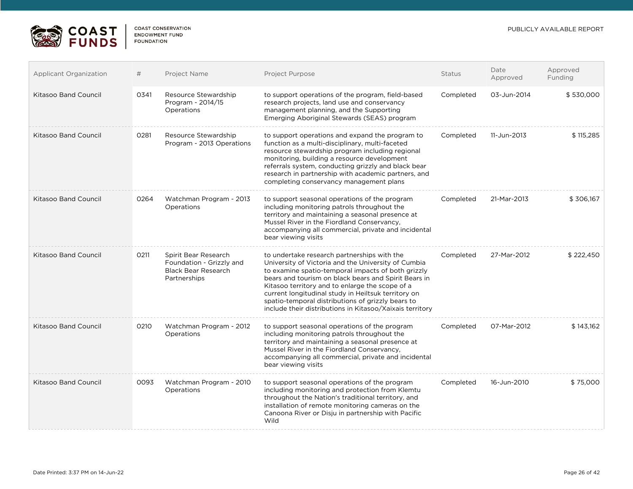

| <b>Applicant Organization</b> | #    | Project Name                                                                                   | <b>Project Purpose</b>                                                                                                                                                                                                                                                                                                                                                                                                                      | <b>Status</b> | Date<br>Approved | Approved<br>Funding |
|-------------------------------|------|------------------------------------------------------------------------------------------------|---------------------------------------------------------------------------------------------------------------------------------------------------------------------------------------------------------------------------------------------------------------------------------------------------------------------------------------------------------------------------------------------------------------------------------------------|---------------|------------------|---------------------|
| <b>Kitasoo Band Council</b>   | 0341 | Resource Stewardship<br>Program - 2014/15<br>Operations                                        | to support operations of the program, field-based<br>research projects, land use and conservancy<br>management planning, and the Supporting<br>Emerging Aboriginal Stewards (SEAS) program                                                                                                                                                                                                                                                  | Completed     | 03-Jun-2014      | \$530,000           |
| <b>Kitasoo Band Council</b>   | 0281 | Resource Stewardship<br>Program - 2013 Operations                                              | to support operations and expand the program to<br>function as a multi-disciplinary, multi-faceted<br>resource stewardship program including regional<br>monitoring, building a resource development<br>referrals system, conducting grizzly and black bear<br>research in partnership with academic partners, and<br>completing conservancy management plans                                                                               | Completed     | 11-Jun-2013      | \$115,285           |
| Kitasoo Band Council          | 0264 | Watchman Program - 2013<br>Operations                                                          | to support seasonal operations of the program<br>including monitoring patrols throughout the<br>territory and maintaining a seasonal presence at<br>Mussel River in the Fiordland Conservancy,<br>accompanying all commercial, private and incidental<br>bear viewing visits                                                                                                                                                                | Completed     | 21-Mar-2013      | \$306,167           |
| <b>Kitasoo Band Council</b>   | 0211 | Spirit Bear Research<br>Foundation - Grizzly and<br><b>Black Bear Research</b><br>Partnerships | to undertake research partnerships with the<br>University of Victoria and the University of Cumbia<br>to examine spatio-temporal impacts of both grizzly<br>bears and tourism on black bears and Spirit Bears in<br>Kitasoo territory and to enlarge the scope of a<br>current longitudinal study in Heiltsuk territory on<br>spatio-temporal distributions of grizzly bears to<br>include their distributions in Kitasoo/Xaixais territory | Completed     | 27-Mar-2012      | \$222,450           |
| <b>Kitasoo Band Council</b>   | 0210 | Watchman Program - 2012<br>Operations                                                          | to support seasonal operations of the program<br>including monitoring patrols throughout the<br>territory and maintaining a seasonal presence at<br>Mussel River in the Fiordland Conservancy,<br>accompanying all commercial, private and incidental<br>bear viewing visits                                                                                                                                                                | Completed     | 07-Mar-2012      | \$143,162           |
| Kitasoo Band Council          | 0093 | Watchman Program - 2010<br>Operations                                                          | to support seasonal operations of the program<br>including monitoring and protection from Klemtu<br>throughout the Nation's traditional territory, and<br>installation of remote monitoring cameras on the<br>Canoona River or Disju in partnership with Pacific<br>Wild                                                                                                                                                                    | Completed     | 16-Jun-2010      | \$75,000            |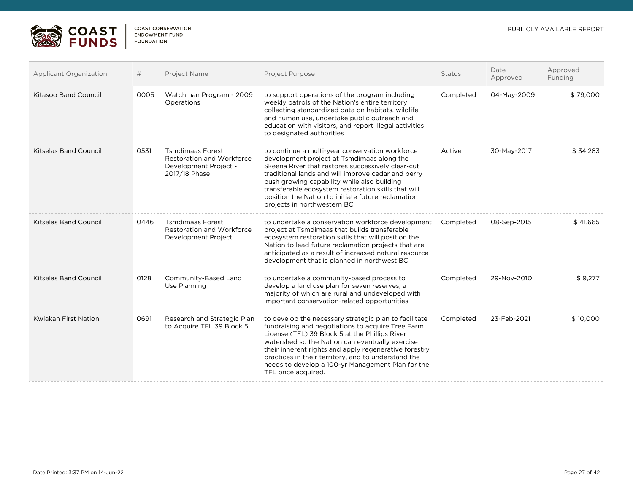Approved the contract of the contract of the contract of the contract of the contract of the contract of the contract of the contract of the contract of the contract of the contract of the contract of the contract of the c



| <b>Applicant Organization</b> | #    | Project Name                                                                                   | Project Purpose                                                                                                                                                                                                                                                                                                                                                                                            | <b>Status</b> | Date<br>Approved | Approved<br>Funding |
|-------------------------------|------|------------------------------------------------------------------------------------------------|------------------------------------------------------------------------------------------------------------------------------------------------------------------------------------------------------------------------------------------------------------------------------------------------------------------------------------------------------------------------------------------------------------|---------------|------------------|---------------------|
| <b>Kitasoo Band Council</b>   | 0005 | Watchman Program - 2009<br>Operations                                                          | to support operations of the program including<br>weekly patrols of the Nation's entire territory,<br>collecting standardized data on habitats, wildlife,<br>and human use, undertake public outreach and<br>education with visitors, and report illegal activities<br>to designated authorities                                                                                                           | Completed     | 04-May-2009      | \$79,000            |
| <b>Kitselas Band Council</b>  | 0531 | <b>Tsmdimaas Forest</b><br>Restoration and Workforce<br>Development Project -<br>2017/18 Phase | to continue a multi-year conservation workforce<br>development project at Tsmdimaas along the<br>Skeena River that restores successively clear-cut<br>traditional lands and will improve cedar and berry<br>bush growing capability while also building<br>transferable ecosystem restoration skills that will<br>position the Nation to initiate future reclamation<br>projects in northwestern BC        | Active        | 30-May-2017      | \$34,283            |
| <b>Kitselas Band Council</b>  | 0446 | <b>Tsmdimaas Forest</b><br><b>Restoration and Workforce</b><br>Development Project             | to undertake a conservation workforce development<br>project at Tsmdimaas that builds transferable<br>ecosystem restoration skills that will position the<br>Nation to lead future reclamation projects that are<br>anticipated as a result of increased natural resource<br>development that is planned in northwest BC                                                                                   | Completed     | 08-Sep-2015      | \$41,665            |
| <b>Kitselas Band Council</b>  | 0128 | Community-Based Land<br>Use Planning                                                           | to undertake a community-based process to<br>develop a land use plan for seven reserves, a<br>majority of which are rural and undeveloped with<br>important conservation-related opportunities                                                                                                                                                                                                             | Completed     | 29-Nov-2010      | \$9,277             |
| <b>Kwiakah First Nation</b>   | 0691 | Research and Strategic Plan<br>to Acquire TFL 39 Block 5                                       | to develop the necessary strategic plan to facilitate<br>fundraising and negotiations to acquire Tree Farm<br>License (TFL) 39 Block 5 at the Phillips River<br>watershed so the Nation can eventually exercise<br>their inherent rights and apply regenerative forestry<br>practices in their territory, and to understand the<br>needs to develop a 100-yr Management Plan for the<br>TFL once acquired. | Completed     | 23-Feb-2021      | \$10,000            |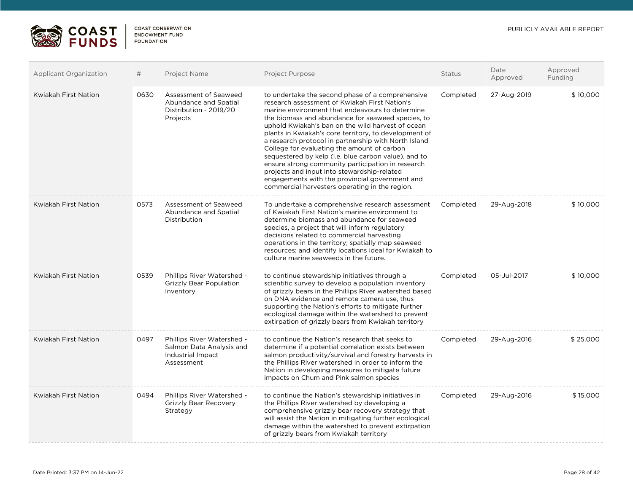

| Applicant Organization      | #    | Project Name                                                                              | Project Purpose                                                                                                                                                                                                                                                                                                                                                                                                                                                                                                                                                                                                                                                                                | <b>Status</b> | Date<br>Approved | Approved<br>Funding |
|-----------------------------|------|-------------------------------------------------------------------------------------------|------------------------------------------------------------------------------------------------------------------------------------------------------------------------------------------------------------------------------------------------------------------------------------------------------------------------------------------------------------------------------------------------------------------------------------------------------------------------------------------------------------------------------------------------------------------------------------------------------------------------------------------------------------------------------------------------|---------------|------------------|---------------------|
| Kwiakah First Nation        | 0630 | Assessment of Seaweed<br>Abundance and Spatial<br>Distribution - 2019/20<br>Projects      | to undertake the second phase of a comprehensive<br>research assessment of Kwiakah First Nation's<br>marine environment that endeavours to determine<br>the biomass and abundance for seaweed species, to<br>uphold Kwiakah's ban on the wild harvest of ocean<br>plants in Kwiakah's core territory, to development of<br>a research protocol in partnership with North Island<br>College for evaluating the amount of carbon<br>sequestered by kelp (i.e. blue carbon value), and to<br>ensure strong community participation in research<br>projects and input into stewardship-related<br>engagements with the provincial government and<br>commercial harvesters operating in the region. | Completed     | 27-Aug-2019      | \$10,000            |
| <b>Kwiakah First Nation</b> | 0573 | Assessment of Seaweed<br>Abundance and Spatial<br>Distribution                            | To undertake a comprehensive research assessment<br>of Kwiakah First Nation's marine environment to<br>determine biomass and abundance for seaweed<br>species, a project that will inform regulatory<br>decisions related to commercial harvesting<br>operations in the territory; spatially map seaweed<br>resources; and identify locations ideal for Kwiakah to<br>culture marine seaweeds in the future.                                                                                                                                                                                                                                                                                   | Completed     | 29-Aug-2018      | \$10,000            |
| Kwiakah First Nation        | 0539 | Phillips River Watershed -<br><b>Grizzly Bear Population</b><br>Inventory                 | to continue stewardship initiatives through a<br>scientific survey to develop a population inventory<br>of grizzly bears in the Phillips River watershed based<br>on DNA evidence and remote camera use, thus<br>supporting the Nation's efforts to mitigate further<br>ecological damage within the watershed to prevent<br>extirpation of grizzly bears from Kwiakah territory                                                                                                                                                                                                                                                                                                               | Completed     | 05-Jul-2017      | \$10,000            |
| <b>Kwiakah First Nation</b> | 0497 | Phillips River Watershed -<br>Salmon Data Analysis and<br>Industrial Impact<br>Assessment | to continue the Nation's research that seeks to<br>determine if a potential correlation exists between<br>salmon productivity/survival and forestry harvests in<br>the Phillips River watershed in order to inform the<br>Nation in developing measures to mitigate future<br>impacts on Chum and Pink salmon species                                                                                                                                                                                                                                                                                                                                                                          | Completed     | 29-Aug-2016      | \$25,000            |
| Kwiakah First Nation        | 0494 | Phillips River Watershed -<br><b>Grizzly Bear Recovery</b><br>Strategy                    | to continue the Nation's stewardship initiatives in<br>the Phillips River watershed by developing a<br>comprehensive grizzly bear recovery strategy that<br>will assist the Nation in mitigating further ecological<br>damage within the watershed to prevent extirpation<br>of grizzly bears from Kwiakah territory                                                                                                                                                                                                                                                                                                                                                                           | Completed     | 29-Aug-2016      | \$15,000            |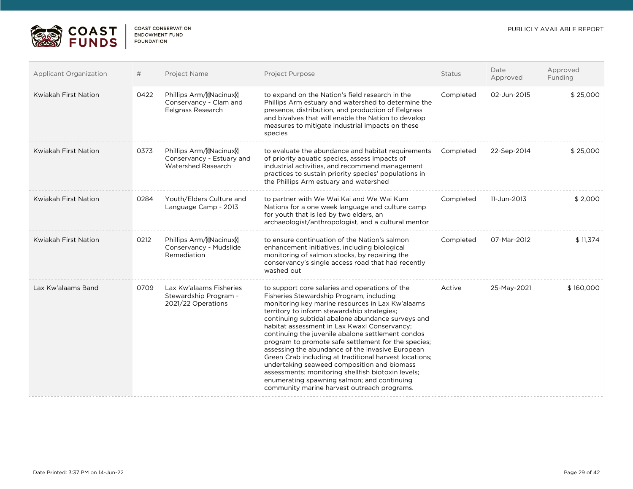

| <b>Applicant Organization</b> | #    | Project Name                                                              | <b>Project Purpose</b>                                                                                                                                                                                                                                                                                                                                                                                                                                                                                                                                                                                                                                                                                                          | Status    | Date<br>Approved | Approved<br>Funding |
|-------------------------------|------|---------------------------------------------------------------------------|---------------------------------------------------------------------------------------------------------------------------------------------------------------------------------------------------------------------------------------------------------------------------------------------------------------------------------------------------------------------------------------------------------------------------------------------------------------------------------------------------------------------------------------------------------------------------------------------------------------------------------------------------------------------------------------------------------------------------------|-----------|------------------|---------------------|
| <b>Kwiakah First Nation</b>   | 0422 | Phillips Arm/MRacinux<br>Conservancy - Clam and<br>Eelgrass Research      | to expand on the Nation's field research in the<br>Phillips Arm estuary and watershed to determine the<br>presence, distribution, and production of Eelgrass<br>and bivalves that will enable the Nation to develop<br>measures to mitigate industrial impacts on these<br>species                                                                                                                                                                                                                                                                                                                                                                                                                                              | Completed | 02-Jun-2015      | \$25,000            |
| <b>Kwiakah First Nation</b>   | 0373 | Phillips Arm/MNacinuxM<br>Conservancy - Estuary and<br>Watershed Research | to evaluate the abundance and habitat requirements<br>of priority aquatic species, assess impacts of<br>industrial activities, and recommend management<br>practices to sustain priority species' populations in<br>the Phillips Arm estuary and watershed                                                                                                                                                                                                                                                                                                                                                                                                                                                                      | Completed | 22-Sep-2014      | \$25,000            |
| Kwiakah First Nation          | 0284 | Youth/Elders Culture and<br>Language Camp - 2013                          | to partner with We Wai Kai and We Wai Kum<br>Nations for a one week language and culture camp<br>for youth that is led by two elders, an<br>archaeologist/anthropologist, and a cultural mentor                                                                                                                                                                                                                                                                                                                                                                                                                                                                                                                                 | Completed | 11-Jun-2013      | \$2,000             |
| <b>Kwiakah First Nation</b>   | 0212 | Phillips Arm/MNacinuxM<br>Conservancy - Mudslide<br>Remediation           | to ensure continuation of the Nation's salmon<br>enhancement initiatives, including biological<br>monitoring of salmon stocks, by repairing the<br>conservancy's single access road that had recently<br>washed out                                                                                                                                                                                                                                                                                                                                                                                                                                                                                                             | Completed | 07-Mar-2012      | \$11,374            |
| Lax Kw'alaams Band            | 0709 | Lax Kw'alaams Fisheries<br>Stewardship Program -<br>2021/22 Operations    | to support core salaries and operations of the<br>Fisheries Stewardship Program, including<br>monitoring key marine resources in Lax Kw'alaams<br>territory to inform stewardship strategies;<br>continuing subtidal abalone abundance surveys and<br>habitat assessment in Lax Kwaxl Conservancy;<br>continuing the juvenile abalone settlement condos<br>program to promote safe settlement for the species;<br>assessing the abundance of the invasive European<br>Green Crab including at traditional harvest locations;<br>undertaking seaweed composition and biomass<br>assessments; monitoring shellfish biotoxin levels;<br>enumerating spawning salmon; and continuing<br>community marine harvest outreach programs. | Active    | 25-May-2021      | \$160,000           |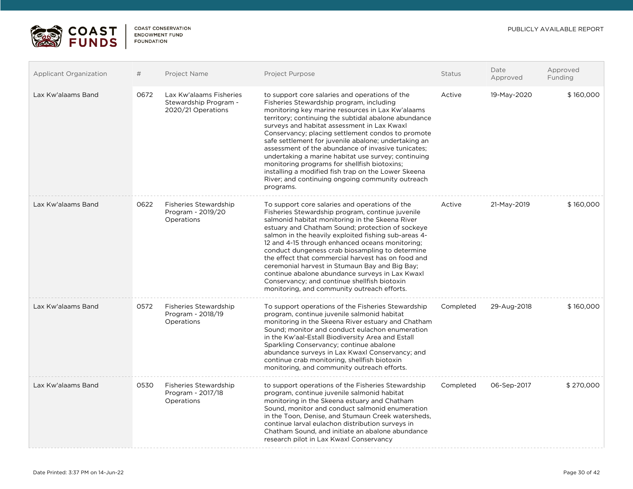

| <b>Applicant Organization</b> | #    | Project Name                                                           | <b>Project Purpose</b>                                                                                                                                                                                                                                                                                                                                                                                                                                                                                                                                                                                                                                  | <b>Status</b> | Date<br>Approved | Approved<br>Funding |
|-------------------------------|------|------------------------------------------------------------------------|---------------------------------------------------------------------------------------------------------------------------------------------------------------------------------------------------------------------------------------------------------------------------------------------------------------------------------------------------------------------------------------------------------------------------------------------------------------------------------------------------------------------------------------------------------------------------------------------------------------------------------------------------------|---------------|------------------|---------------------|
| Lax Kw'alaams Band            | 0672 | Lax Kw'alaams Fisheries<br>Stewardship Program -<br>2020/21 Operations | to support core salaries and operations of the<br>Fisheries Stewardship program, including<br>monitoring key marine resources in Lax Kw'alaams<br>territory; continuing the subtidal abalone abundance<br>surveys and habitat assessment in Lax Kwaxl<br>Conservancy; placing settlement condos to promote<br>safe settlement for juvenile abalone; undertaking an<br>assessment of the abundance of invasive tunicates;<br>undertaking a marine habitat use survey; continuing<br>monitoring programs for shellfish biotoxins;<br>installing a modified fish trap on the Lower Skeena<br>River; and continuing ongoing community outreach<br>programs. | Active        | 19-May-2020      | \$160,000           |
| Lax Kw'alaams Band            | 0622 | <b>Fisheries Stewardship</b><br>Program - 2019/20<br>Operations        | To support core salaries and operations of the<br>Fisheries Stewardship program, continue juvenile<br>salmonid habitat monitoring in the Skeena River<br>estuary and Chatham Sound; protection of sockeye<br>salmon in the heavily exploited fishing sub-areas 4-<br>12 and 4-15 through enhanced oceans monitoring;<br>conduct dungeness crab biosampling to determine<br>the effect that commercial harvest has on food and<br>ceremonial harvest in Stumaun Bay and Big Bay;<br>continue abalone abundance surveys in Lax Kwaxl<br>Conservancy; and continue shellfish biotoxin<br>monitoring, and community outreach efforts.                       | Active        | 21-May-2019      | \$160,000           |
| Lax Kw'alaams Band            | 0572 | <b>Fisheries Stewardship</b><br>Program - 2018/19<br>Operations        | To support operations of the Fisheries Stewardship<br>program, continue juvenile salmonid habitat<br>monitoring in the Skeena River estuary and Chatham<br>Sound: monitor and conduct eulachon enumeration<br>in the Kw'aal-Estall Biodiversity Area and Estall<br>Sparkling Conservancy; continue abalone<br>abundance surveys in Lax Kwaxl Conservancy; and<br>continue crab monitoring, shellfish biotoxin<br>monitoring, and community outreach efforts.                                                                                                                                                                                            | Completed     | 29-Aug-2018      | \$160,000           |
| Lax Kw'alaams Band            | 0530 | <b>Fisheries Stewardship</b><br>Program - 2017/18<br>Operations        | to support operations of the Fisheries Stewardship<br>program, continue juvenile salmonid habitat<br>monitoring in the Skeena estuary and Chatham<br>Sound, monitor and conduct salmonid enumeration<br>in the Toon, Denise, and Stumaun Creek watersheds,<br>continue larval eulachon distribution surveys in<br>Chatham Sound, and initiate an abalone abundance<br>research pilot in Lax Kwaxl Conservancy                                                                                                                                                                                                                                           | Completed     | 06-Sep-2017      | \$270,000           |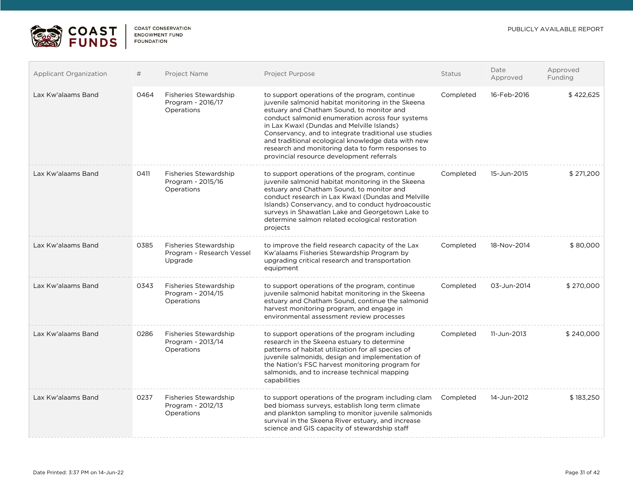

| <b>Applicant Organization</b> | #    | <b>Project Name</b>                                                  | <b>Project Purpose</b>                                                                                                                                                                                                                                                                                                                                                                                                                                               | <b>Status</b> | Date<br>Approved | Approved<br>Funding |
|-------------------------------|------|----------------------------------------------------------------------|----------------------------------------------------------------------------------------------------------------------------------------------------------------------------------------------------------------------------------------------------------------------------------------------------------------------------------------------------------------------------------------------------------------------------------------------------------------------|---------------|------------------|---------------------|
| Lax Kw'alaams Band            | 0464 | Fisheries Stewardship<br>Program - 2016/17<br>Operations             | to support operations of the program, continue<br>juvenile salmonid habitat monitoring in the Skeena<br>estuary and Chatham Sound, to monitor and<br>conduct salmonid enumeration across four systems<br>in Lax Kwaxl (Dundas and Melville Islands)<br>Conservancy, and to integrate traditional use studies<br>and traditional ecological knowledge data with new<br>research and monitoring data to form responses to<br>provincial resource development referrals | Completed     | 16-Feb-2016      | \$422,625           |
| Lax Kw'alaams Band            | 0411 | Fisheries Stewardship<br>Program - 2015/16<br>Operations             | to support operations of the program, continue<br>juvenile salmonid habitat monitoring in the Skeena<br>estuary and Chatham Sound, to monitor and<br>conduct research in Lax Kwaxl (Dundas and Melville<br>Islands) Conservancy, and to conduct hydroacoustic<br>surveys in Shawatlan Lake and Georgetown Lake to<br>determine salmon related ecological restoration<br>projects                                                                                     | Completed     | 15-Jun-2015      | \$271,200           |
| Lax Kw'alaams Band            | 0385 | <b>Fisheries Stewardship</b><br>Program - Research Vessel<br>Upgrade | to improve the field research capacity of the Lax<br>Kw'alaams Fisheries Stewardship Program by<br>upgrading critical research and transportation<br>equipment                                                                                                                                                                                                                                                                                                       | Completed     | 18-Nov-2014      | \$80,000            |
| Lax Kw'alaams Band            | 0343 | <b>Fisheries Stewardship</b><br>Program - 2014/15<br>Operations      | to support operations of the program, continue<br>juvenile salmonid habitat monitoring in the Skeena<br>estuary and Chatham Sound, continue the salmonid<br>harvest monitoring program, and engage in<br>environmental assessment review processes                                                                                                                                                                                                                   | Completed     | 03-Jun-2014      | \$270,000           |
| Lax Kw'alaams Band            | 0286 | <b>Fisheries Stewardship</b><br>Program - 2013/14<br>Operations      | to support operations of the program including<br>research in the Skeena estuary to determine<br>patterns of habitat utilization for all species of<br>juvenile salmonids, design and implementation of<br>the Nation's FSC harvest monitoring program for<br>salmonids, and to increase technical mapping<br>capabilities                                                                                                                                           | Completed     | 11-Jun-2013      | \$240,000           |
| Lax Kw'alaams Band            | 0237 | <b>Fisheries Stewardship</b><br>Program - 2012/13<br>Operations      | to support operations of the program including clam<br>bed biomass surveys, establish long term climate<br>and plankton sampling to monitor juvenile salmonids<br>survival in the Skeena River estuary, and increase<br>science and GIS capacity of stewardship staff                                                                                                                                                                                                | Completed     | 14-Jun-2012      | \$183,250           |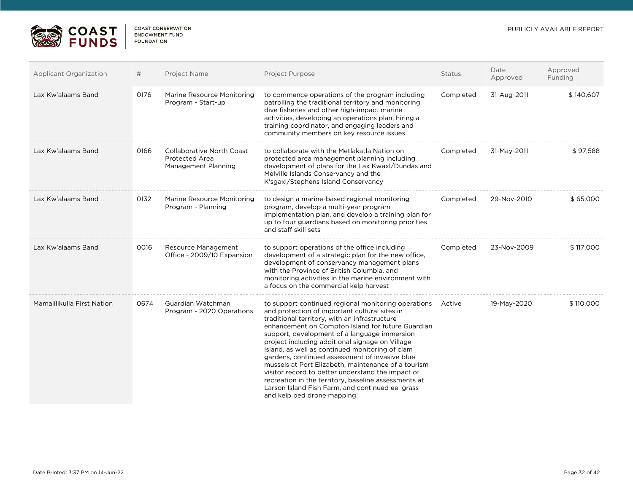

| Applicant Organization     | #    | Project Name                                                              | <b>Project Purpose</b>                                                                                                                                                                                                                                                                                                                                                                                                                                                                                                                                                                                                                                                           | <b>Status</b> | Date<br>Approved | Approved<br>Funding |
|----------------------------|------|---------------------------------------------------------------------------|----------------------------------------------------------------------------------------------------------------------------------------------------------------------------------------------------------------------------------------------------------------------------------------------------------------------------------------------------------------------------------------------------------------------------------------------------------------------------------------------------------------------------------------------------------------------------------------------------------------------------------------------------------------------------------|---------------|------------------|---------------------|
| Lax Kw'alaams Band         | 0176 | Marine Resource Monitoring<br>Program - Start-up                          | to commence operations of the program including<br>patrolling the traditional territory and monitoring<br>dive fisheries and other high-impact marine<br>activities, developing an operations plan, hiring a<br>training coordinator, and engaging leaders and<br>community members on key resource issues                                                                                                                                                                                                                                                                                                                                                                       | Completed     | 31-Aug-2011      | \$140,607           |
| Lax Kw'alaams Band         | 0166 | <b>Collaborative North Coast</b><br>Protected Area<br>Management Planning | to collaborate with the Metlakatla Nation on<br>protected area management planning including<br>development of plans for the Lax Kwaxl/Dundas and<br>Melville Islands Conservancy and the<br>K'sgaxl/Stephens Island Conservancy                                                                                                                                                                                                                                                                                                                                                                                                                                                 | Completed     | 31-May-2011      | \$97,588            |
| Lax Kw'alaams Band         | 0132 | Marine Resource Monitoring<br>Program - Planning                          | to design a marine-based regional monitoring<br>program, develop a multi-year program<br>implementation plan, and develop a training plan for<br>up to four guardians based on monitoring priorities<br>and staff skill sets                                                                                                                                                                                                                                                                                                                                                                                                                                                     | Completed     | 29-Nov-2010      | \$65,000            |
| Lax Kw'alaams Band         | 0016 | Resource Management<br>Office - 2009/10 Expansion                         | to support operations of the office including<br>development of a strategic plan for the new office,<br>development of conservancy management plans<br>with the Province of British Columbia, and<br>monitoring activities in the marine environment with<br>a focus on the commercial kelp harvest                                                                                                                                                                                                                                                                                                                                                                              | Completed     | 23-Nov-2009      | \$117,000           |
| Mamalilikulla First Nation | 0674 | Guardian Watchman<br>Program - 2020 Operations                            | to support continued regional monitoring operations Active<br>and protection of important cultural sites in<br>traditional territory, with an infrastructure<br>enhancement on Compton Island for future Guardian<br>support, development of a language immersion<br>project including additional signage on Village<br>Island, as well as continued monitoring of clam<br>gardens, continued assessment of invasive blue<br>mussels at Port Elizabeth, maintenance of a tourism<br>visitor record to better understand the impact of<br>recreation in the territory, baseline assessments at<br>Larson Island Fish Farm, and continued eel grass<br>and kelp bed drone mapping. |               | 19-May-2020      | \$110,000           |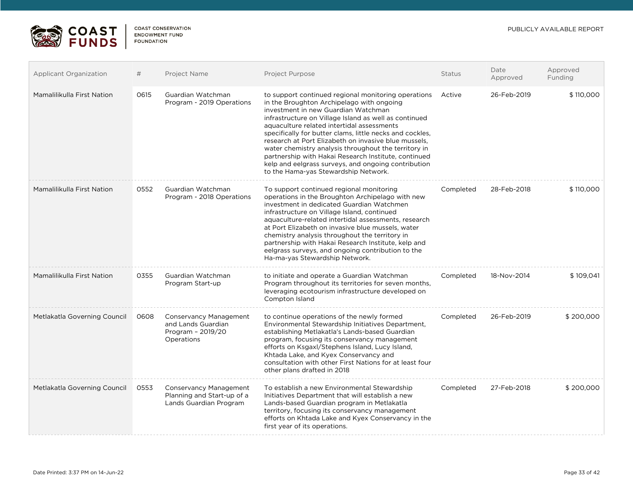

| <b>Applicant Organization</b> | #    | Project Name                                                                          | <b>Project Purpose</b>                                                                                                                                                                                                                                                                                                                                                                                                                                                                                                                                                            | <b>Status</b> | Date<br>Approved | Approved<br>Funding |
|-------------------------------|------|---------------------------------------------------------------------------------------|-----------------------------------------------------------------------------------------------------------------------------------------------------------------------------------------------------------------------------------------------------------------------------------------------------------------------------------------------------------------------------------------------------------------------------------------------------------------------------------------------------------------------------------------------------------------------------------|---------------|------------------|---------------------|
| Mamalilikulla First Nation    | 0615 | Guardian Watchman<br>Program - 2019 Operations                                        | to support continued regional monitoring operations<br>in the Broughton Archipelago with ongoing<br>investment in new Guardian Watchman<br>infrastructure on Village Island as well as continued<br>aquaculture related intertidal assessments<br>specifically for butter clams, little necks and cockles,<br>research at Port Elizabeth on invasive blue mussels,<br>water chemistry analysis throughout the territory in<br>partnership with Hakai Research Institute, continued<br>kelp and eelgrass surveys, and ongoing contribution<br>to the Hama-yas Stewardship Network. | Active        | 26-Feb-2019      | \$110,000           |
| Mamalilikulla First Nation    | 0552 | Guardian Watchman<br>Program - 2018 Operations                                        | To support continued regional monitoring<br>operations in the Broughton Archipelago with new<br>investment in dedicated Guardian Watchmen<br>infrastructure on Village Island, continued<br>aquaculture-related intertidal assessments, research<br>at Port Elizabeth on invasive blue mussels, water<br>chemistry analysis throughout the territory in<br>partnership with Hakai Research Institute, kelp and<br>eelgrass surveys, and ongoing contribution to the<br>Ha-ma-yas Stewardship Network.                                                                             | Completed     | 28-Feb-2018      | \$110,000           |
| Mamalilikulla First Nation    | 0355 | Guardian Watchman<br>Program Start-up                                                 | to initiate and operate a Guardian Watchman<br>Program throughout its territories for seven months,<br>leveraging ecotourism infrastructure developed on<br>Compton Island                                                                                                                                                                                                                                                                                                                                                                                                        | Completed     | 18-Nov-2014      | \$109,041           |
| Metlakatla Governing Council  | 0608 | Conservancy Management<br>and Lands Guardian<br>Program - 2019/20<br>Operations       | to continue operations of the newly formed<br>Environmental Stewardship Initiatives Department,<br>establishing Metlakatla's Lands-based Guardian<br>program, focusing its conservancy management<br>efforts on Ksgaxl/Stephens Island, Lucy Island,<br>Khtada Lake, and Kyex Conservancy and<br>consultation with other First Nations for at least four<br>other plans drafted in 2018                                                                                                                                                                                           | Completed     | 26-Feb-2019      | \$200,000           |
| Metlakatla Governing Council  | 0553 | <b>Conservancy Management</b><br>Planning and Start-up of a<br>Lands Guardian Program | To establish a new Environmental Stewardship<br>Initiatives Department that will establish a new<br>Lands-based Guardian program in Metlakatla<br>territory, focusing its conservancy management<br>efforts on Khtada Lake and Kyex Conservancy in the<br>first year of its operations.                                                                                                                                                                                                                                                                                           | Completed     | 27-Feb-2018      | \$200,000           |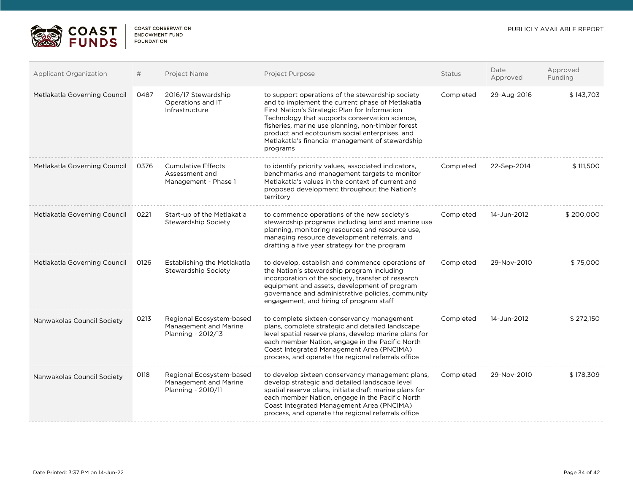

| Applicant Organization       | #    | Project Name                                                            | Project Purpose                                                                                                                                                                                                                                                                                                                                                                | Status    | Date<br>Approved | Approved<br>Funding |
|------------------------------|------|-------------------------------------------------------------------------|--------------------------------------------------------------------------------------------------------------------------------------------------------------------------------------------------------------------------------------------------------------------------------------------------------------------------------------------------------------------------------|-----------|------------------|---------------------|
| Metlakatla Governing Council | 0487 | 2016/17 Stewardship<br>Operations and IT<br>Infrastructure              | to support operations of the stewardship society<br>and to implement the current phase of Metlakatla<br>First Nation's Strategic Plan for Information<br>Technology that supports conservation science,<br>fisheries, marine use planning, non-timber forest<br>product and ecotourism social enterprises, and<br>Metlakatla's financial management of stewardship<br>programs | Completed | 29-Aug-2016      | \$143,703           |
| Metlakatla Governing Council | 0376 | <b>Cumulative Effects</b><br>Assessment and<br>Management - Phase 1     | to identify priority values, associated indicators,<br>benchmarks and management targets to monitor<br>Metlakatla's values in the context of current and<br>proposed development throughout the Nation's<br>territory                                                                                                                                                          | Completed | 22-Sep-2014      | \$111,500           |
| Metlakatla Governing Council | 0221 | Start-up of the Metlakatla<br>Stewardship Society                       | to commence operations of the new society's<br>stewardship programs including land and marine use<br>planning, monitoring resources and resource use,<br>managing resource development referrals, and<br>drafting a five year strategy for the program                                                                                                                         | Completed | 14-Jun-2012      | \$200,000           |
| Metlakatla Governing Council | 0126 | Establishing the Metlakatla<br>Stewardship Society                      | to develop, establish and commence operations of<br>the Nation's stewardship program including<br>incorporation of the society, transfer of research<br>equipment and assets, development of program<br>governance and administrative policies, community<br>engagement, and hiring of program staff                                                                           | Completed | 29-Nov-2010      | \$75,000            |
| Nanwakolas Council Society   | 0213 | Regional Ecosystem-based<br>Management and Marine<br>Planning - 2012/13 | to complete sixteen conservancy management<br>plans, complete strategic and detailed landscape<br>level spatial reserve plans, develop marine plans for<br>each member Nation, engage in the Pacific North<br>Coast Integrated Management Area (PNCIMA)<br>process, and operate the regional referrals office                                                                  | Completed | 14-Jun-2012      | \$272,150           |
| Nanwakolas Council Society   | 0118 | Regional Ecosystem-based<br>Management and Marine<br>Planning - 2010/11 | to develop sixteen conservancy management plans,<br>develop strategic and detailed landscape level<br>spatial reserve plans, initiate draft marine plans for<br>each member Nation, engage in the Pacific North<br>Coast Integrated Management Area (PNCIMA)<br>process, and operate the regional referrals office                                                             | Completed | 29-Nov-2010      | \$178.309           |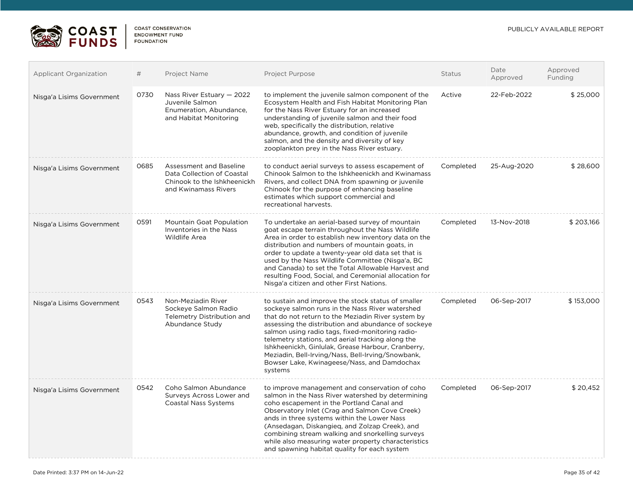

| <b>Applicant Organization</b> | #    | Project Name                                                                                                 | Project Purpose                                                                                                                                                                                                                                                                                                                                                                                                                                                                                  | <b>Status</b> | Date<br>Approved | Approved<br>Funding |
|-------------------------------|------|--------------------------------------------------------------------------------------------------------------|--------------------------------------------------------------------------------------------------------------------------------------------------------------------------------------------------------------------------------------------------------------------------------------------------------------------------------------------------------------------------------------------------------------------------------------------------------------------------------------------------|---------------|------------------|---------------------|
| Nisga'a Lisims Government     | 0730 | Nass River Estuary - 2022<br>Juvenile Salmon<br>Enumeration, Abundance,<br>and Habitat Monitoring            | to implement the juvenile salmon component of the<br>Ecosystem Health and Fish Habitat Monitoring Plan<br>for the Nass River Estuary for an increased<br>understanding of juvenile salmon and their food<br>web, specifically the distribution, relative<br>abundance, growth, and condition of juvenile<br>salmon, and the density and diversity of key<br>zooplankton prey in the Nass River estuary.                                                                                          | Active        | 22-Feb-2022      | \$25,000            |
| Nisga'a Lisims Government     | 0685 | Assessment and Baseline<br>Data Collection of Coastal<br>Chinook to the Ishkheenickh<br>and Kwinamass Rivers | to conduct aerial surveys to assess escapement of<br>Chinook Salmon to the Ishkheenickh and Kwinamass<br>Rivers, and collect DNA from spawning or juvenile<br>Chinook for the purpose of enhancing baseline<br>estimates which support commercial and<br>recreational harvests.                                                                                                                                                                                                                  | Completed     | 25-Aug-2020      | \$28,600            |
| Nisga'a Lisims Government     | 0591 | Mountain Goat Population<br>Inventories in the Nass<br><b>Wildlife Area</b>                                  | To undertake an aerial-based survey of mountain<br>goat escape terrain throughout the Nass Wildlife<br>Area in order to establish new inventory data on the<br>distribution and numbers of mountain goats, in<br>order to update a twenty-year old data set that is<br>used by the Nass Wildlife Committee (Nisga'a, BC<br>and Canada) to set the Total Allowable Harvest and<br>resulting Food, Social, and Ceremonial allocation for<br>Nisga'a citizen and other First Nations.               | Completed     | 13-Nov-2018      | \$203,166           |
| Nisga'a Lisims Government     | 0543 | Non-Meziadin River<br>Sockeye Salmon Radio<br>Telemetry Distribution and<br>Abundance Study                  | to sustain and improve the stock status of smaller<br>sockeye salmon runs in the Nass River watershed<br>that do not return to the Meziadin River system by<br>assessing the distribution and abundance of sockeye<br>salmon using radio tags, fixed-monitoring radio-<br>telemetry stations, and aerial tracking along the<br>Ishkheenickh, Ginlulak, Grease Harbour, Cranberry,<br>Meziadin, Bell-Irving/Nass, Bell-Irving/Snowbank,<br>Bowser Lake, Kwinageese/Nass, and Damdochax<br>systems | Completed     | 06-Sep-2017      | \$153,000           |
| Nisga'a Lisims Government     | 0542 | Coho Salmon Abundance<br>Surveys Across Lower and<br><b>Coastal Nass Systems</b>                             | to improve management and conservation of coho<br>salmon in the Nass River watershed by determining<br>coho escapement in the Portland Canal and<br>Observatory Inlet (Crag and Salmon Cove Creek)<br>ands in three systems within the Lower Nass<br>(Ansedagan, Diskangieg, and Zolzap Creek), and<br>combining stream walking and snorkelling surveys<br>while also measuring water property characteristics<br>and spawning habitat quality for each system                                   | Completed     | 06-Sep-2017      | \$20,452            |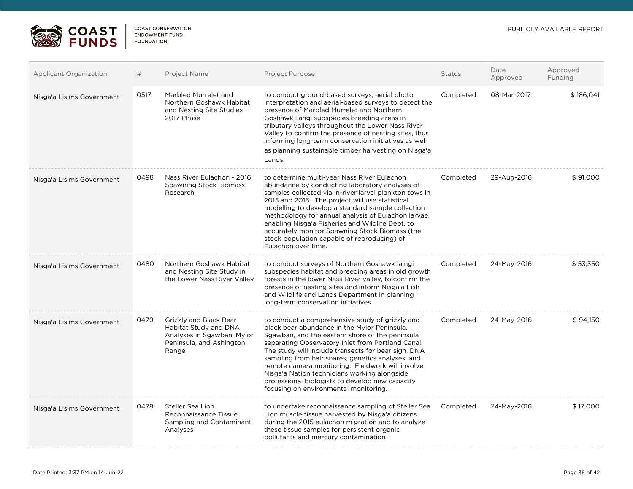

| <b>Applicant Organization</b> | #    | Project Name                                                                                                       | Project Purpose                                                                                                                                                                                                                                                                                                                                                                                                                                                                                                     | Status    | Date<br>Approved | Approved<br>Funding |
|-------------------------------|------|--------------------------------------------------------------------------------------------------------------------|---------------------------------------------------------------------------------------------------------------------------------------------------------------------------------------------------------------------------------------------------------------------------------------------------------------------------------------------------------------------------------------------------------------------------------------------------------------------------------------------------------------------|-----------|------------------|---------------------|
| Nisga'a Lisims Government     | 0517 | Marbled Murrelet and<br>Northern Goshawk Habitat<br>and Nesting Site Studies -<br>2017 Phase                       | to conduct ground-based surveys, aerial photo<br>interpretation and aerial-based surveys to detect the<br>presence of Marbled Murrelet and Northern<br>Goshawk liangi subspecies breeding areas in<br>tributary valleys throughout the Lower Nass River<br>Valley to confirm the presence of nesting sites, thus<br>informing long-term conservation initiatives as well<br>as planning sustainable timber harvesting on Nisga'a<br>Lands                                                                           | Completed | 08-Mar-2017      | \$186,041           |
| Nisga'a Lisims Government     | 0498 | Nass River Eulachon - 2016<br><b>Spawning Stock Biomass</b><br>Research                                            | to determine multi-year Nass River Eulachon<br>abundance by conducting laboratory analyses of<br>samples collected via in-river larval plankton tows in<br>2015 and 2016. The project will use statistical<br>modelling to develop a standard sample collection<br>methodology for annual analysis of Eulachon larvae,<br>enabling Nisga'a Fisheries and Wildlife Dept. to<br>accurately monitor Spawning Stock Biomass (the<br>stock population capable of reproducing) of<br>Eulachon over time.                  | Completed | 29-Aug-2016      | \$91,000            |
| Nisga'a Lisims Government     | 0480 | Northern Goshawk Habitat<br>and Nesting Site Study in<br>the Lower Nass River Valley                               | to conduct surveys of Northern Goshawk laingi<br>subspecies habitat and breeding areas in old growth<br>forests in the lower Nass River valley, to confirm the<br>presence of nesting sites and inform Nisga'a Fish<br>and Wildlife and Lands Department in planning<br>long-term conservation initiatives                                                                                                                                                                                                          | Completed | 24-May-2016      | \$53,350            |
| Nisga'a Lisims Government     | 0479 | Grizzly and Black Bear<br>Habitat Study and DNA<br>Analyses in Sgawban, Mylor<br>Peninsula, and Ashington<br>Range | to conduct a comprehensive study of grizzly and<br>black bear abundance in the Mylor Peninsula,<br>Sgawban, and the eastern shore of the peninsula<br>separating Observatory Inlet from Portland Canal.<br>The study will include transects for bear sign, DNA<br>sampling from hair snares, genetics analyses, and<br>remote camera monitoring. Fieldwork will involve<br>Nisga'a Nation technicians working alongside<br>professional biologists to develop new capacity<br>focusing on environmental monitoring. | Completed | 24-May-2016      | \$94,150            |
| Nisga'a Lisims Government     | 0478 | Steller Sea Lion<br>Reconnaissance Tissue<br>Sampling and Contaminant<br>Analyses                                  | to undertake reconnaissance sampling of Steller Sea<br>Lion muscle tissue harvested by Nisga'a citizens<br>during the 2015 eulachon migration and to analyze<br>these tissue samples for persistent organic<br>pollutants and mercury contamination                                                                                                                                                                                                                                                                 | Completed | 24-May-2016      | \$17,000            |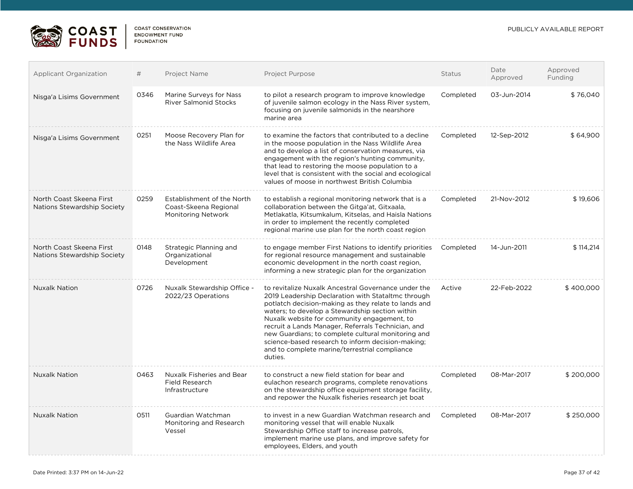

| <b>Applicant Organization</b>                           | #    | Project Name                                                                     | Project Purpose                                                                                                                                                                                                                                                                                                                                                                                                                                                                                  | <b>Status</b> | Date<br>Approved | Approved<br>Funding |
|---------------------------------------------------------|------|----------------------------------------------------------------------------------|--------------------------------------------------------------------------------------------------------------------------------------------------------------------------------------------------------------------------------------------------------------------------------------------------------------------------------------------------------------------------------------------------------------------------------------------------------------------------------------------------|---------------|------------------|---------------------|
| Nisga'a Lisims Government                               | 0346 | Marine Surveys for Nass<br><b>River Salmonid Stocks</b>                          | to pilot a research program to improve knowledge<br>of juvenile salmon ecology in the Nass River system,<br>focusing on juvenile salmonids in the nearshore<br>marine area                                                                                                                                                                                                                                                                                                                       | Completed     | 03-Jun-2014      | \$76,040            |
| Nisga'a Lisims Government                               | 0251 | Moose Recovery Plan for<br>the Nass Wildlife Area                                | to examine the factors that contributed to a decline<br>in the moose population in the Nass Wildlife Area<br>and to develop a list of conservation measures, via<br>engagement with the region's hunting community,<br>that lead to restoring the moose population to a<br>level that is consistent with the social and ecological<br>values of moose in northwest British Columbia                                                                                                              | Completed     | 12-Sep-2012      | \$64,900            |
| North Coast Skeena First<br>Nations Stewardship Society | 0259 | Establishment of the North<br>Coast-Skeena Regional<br><b>Monitoring Network</b> | to establish a regional monitoring network that is a<br>collaboration between the Gitga'at, Gitxaala,<br>Metlakatla, Kitsumkalum, Kitselas, and Haisla Nations<br>in order to implement the recently completed<br>regional marine use plan for the north coast region                                                                                                                                                                                                                            | Completed     | 21-Nov-2012      | \$19,606            |
| North Coast Skeena First<br>Nations Stewardship Society | 0148 | Strategic Planning and<br>Organizational<br>Development                          | to engage member First Nations to identify priorities<br>for regional resource management and sustainable<br>economic development in the north coast region,<br>informing a new strategic plan for the organization                                                                                                                                                                                                                                                                              | Completed     | 14-Jun-2011      | \$114,214           |
| <b>Nuxalk Nation</b>                                    | 0726 | Nuxalk Stewardship Office -<br>2022/23 Operations                                | to revitalize Nuxalk Ancestral Governance under the<br>2019 Leadership Declaration with Stataltmc through<br>potlatch decision-making as they relate to lands and<br>waters; to develop a Stewardship section within<br>Nuxalk website for community engagement, to<br>recruit a Lands Manager, Referrals Technician, and<br>new Guardians; to complete cultural monitoring and<br>science-based research to inform decision-making;<br>and to complete marine/terrestrial compliance<br>duties. | Active        | 22-Feb-2022      | \$400,000           |
| <b>Nuxalk Nation</b>                                    | 0463 | Nuxalk Fisheries and Bear<br><b>Field Research</b><br>Infrastructure             | to construct a new field station for bear and<br>eulachon research programs, complete renovations<br>on the stewardship office equipment storage facility,<br>and repower the Nuxalk fisheries research jet boat                                                                                                                                                                                                                                                                                 | Completed     | 08-Mar-2017      | \$200,000           |
| <b>Nuxalk Nation</b>                                    | 0511 | Guardian Watchman<br>Monitoring and Research<br>Vessel                           | to invest in a new Guardian Watchman research and<br>monitoring vessel that will enable Nuxalk<br>Stewardship Office staff to increase patrols,<br>implement marine use plans, and improve safety for<br>employees, Elders, and youth                                                                                                                                                                                                                                                            | Completed     | 08-Mar-2017      | \$250,000           |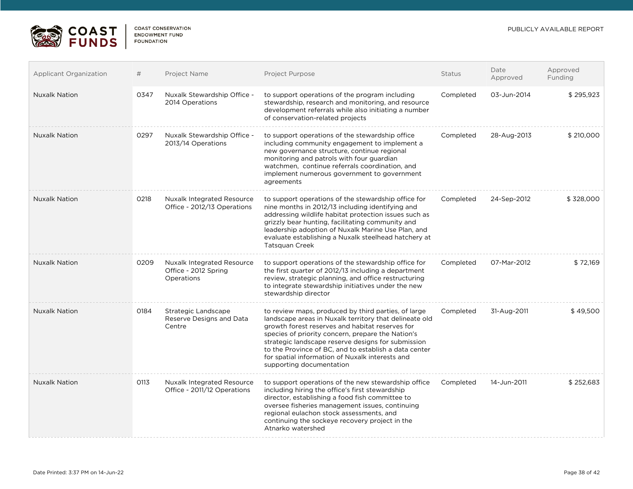

| <b>Applicant Organization</b> | #    | Project Name                                                            | Project Purpose                                                                                                                                                                                                                                                                                                                                                                                                     | Status    | Date<br>Approved | Approved<br>Funding |
|-------------------------------|------|-------------------------------------------------------------------------|---------------------------------------------------------------------------------------------------------------------------------------------------------------------------------------------------------------------------------------------------------------------------------------------------------------------------------------------------------------------------------------------------------------------|-----------|------------------|---------------------|
| <b>Nuxalk Nation</b>          | 0347 | Nuxalk Stewardship Office -<br>2014 Operations                          | to support operations of the program including<br>stewardship, research and monitoring, and resource<br>development referrals while also initiating a number<br>of conservation-related projects                                                                                                                                                                                                                    | Completed | 03-Jun-2014      | \$295,923           |
| <b>Nuxalk Nation</b>          | 0297 | Nuxalk Stewardship Office -<br>2013/14 Operations                       | to support operations of the stewardship office<br>including community engagement to implement a<br>new governance structure, continue regional<br>monitoring and patrols with four guardian<br>watchmen, continue referrals coordination, and<br>implement numerous government to government<br>agreements                                                                                                         | Completed | 28-Aug-2013      | \$210,000           |
| <b>Nuxalk Nation</b>          | 0218 | <b>Nuxalk Integrated Resource</b><br>Office - 2012/13 Operations        | to support operations of the stewardship office for<br>nine months in 2012/13 including identifying and<br>addressing wildlife habitat protection issues such as<br>grizzly bear hunting, facilitating community and<br>leadership adoption of Nuxalk Marine Use Plan, and<br>evaluate establishing a Nuxalk steelhead hatchery at<br>Tatsquan Creek                                                                | Completed | 24-Sep-2012      | \$328,000           |
| <b>Nuxalk Nation</b>          | 0209 | <b>Nuxalk Integrated Resource</b><br>Office - 2012 Spring<br>Operations | to support operations of the stewardship office for<br>the first quarter of 2012/13 including a department<br>review, strategic planning, and office restructuring<br>to integrate stewardship initiatives under the new<br>stewardship director                                                                                                                                                                    | Completed | 07-Mar-2012      | \$72,169            |
| <b>Nuxalk Nation</b>          | 0184 | Strategic Landscape<br>Reserve Designs and Data<br>Centre               | to review maps, produced by third parties, of large<br>landscape areas in Nuxalk territory that delineate old<br>growth forest reserves and habitat reserves for<br>species of priority concern, prepare the Nation's<br>strategic landscape reserve designs for submission<br>to the Province of BC, and to establish a data center<br>for spatial information of Nuxalk interests and<br>supporting documentation | Completed | 31-Aug-2011      | \$49,500            |
| <b>Nuxalk Nation</b>          | 0113 | <b>Nuxalk Integrated Resource</b><br>Office - 2011/12 Operations        | to support operations of the new stewardship office<br>including hiring the office's first stewardship<br>director, establishing a food fish committee to<br>oversee fisheries management issues, continuing<br>regional eulachon stock assessments, and<br>continuing the sockeye recovery project in the<br>Atnarko watershed                                                                                     | Completed | 14-Jun-2011      | \$252,683           |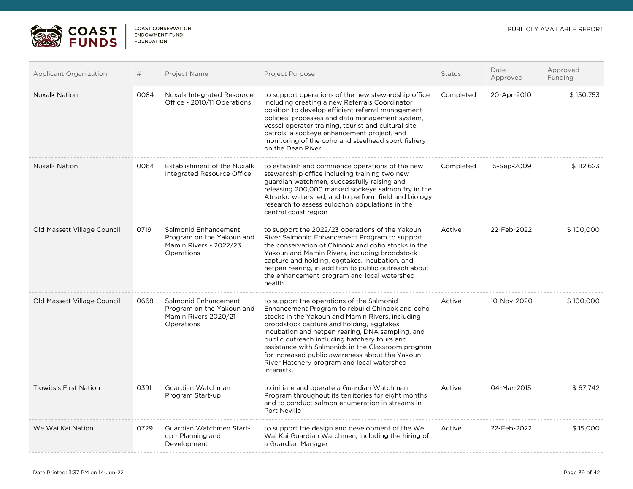

| <b>Applicant Organization</b> | #    | Project Name                                                                              | Project Purpose                                                                                                                                                                                                                                                                                                                                                                                                                                                        | <b>Status</b> | Date<br>Approved | Approved<br>Funding |
|-------------------------------|------|-------------------------------------------------------------------------------------------|------------------------------------------------------------------------------------------------------------------------------------------------------------------------------------------------------------------------------------------------------------------------------------------------------------------------------------------------------------------------------------------------------------------------------------------------------------------------|---------------|------------------|---------------------|
| <b>Nuxalk Nation</b>          | 0084 | <b>Nuxalk Integrated Resource</b><br>Office - 2010/11 Operations                          | to support operations of the new stewardship office<br>including creating a new Referrals Coordinator<br>position to develop efficient referral management<br>policies, processes and data management system,<br>vessel operator training, tourist and cultural site<br>patrols, a sockeye enhancement project, and<br>monitoring of the coho and steelhead sport fishery<br>on the Dean River                                                                         | Completed     | 20-Apr-2010      | \$150,753           |
| <b>Nuxalk Nation</b>          | 0064 | Establishment of the Nuxalk<br>Integrated Resource Office                                 | to establish and commence operations of the new<br>stewardship office including training two new<br>guardian watchmen, successfully raising and<br>releasing 200,000 marked sockeye salmon fry in the<br>Atnarko watershed, and to perform field and biology<br>research to assess eulochon populations in the<br>central coast region                                                                                                                                 | Completed     | 15-Sep-2009      | \$112,623           |
| Old Massett Village Council   | 0719 | Salmonid Enhancement<br>Program on the Yakoun and<br>Mamin Rivers - 2022/23<br>Operations | to support the 2022/23 operations of the Yakoun<br>River Salmonid Enhancement Program to support<br>the conservation of Chinook and coho stocks in the<br>Yakoun and Mamin Rivers, including broodstock<br>capture and holding, eggtakes, incubation, and<br>netpen rearing, in addition to public outreach about<br>the enhancement program and local watershed<br>health.                                                                                            | Active        | 22-Feb-2022      | \$100,000           |
| Old Massett Village Council   | 0668 | Salmonid Enhancement<br>Program on the Yakoun and<br>Mamin Rivers 2020/21<br>Operations   | to support the operations of the Salmonid<br>Enhancement Program to rebuild Chinook and coho<br>stocks in the Yakoun and Mamin Rivers, including<br>broodstock capture and holding, eggtakes,<br>incubation and netpen rearing, DNA sampling, and<br>public outreach including hatchery tours and<br>assistance with Salmonids in the Classroom program<br>for increased public awareness about the Yakoun<br>River Hatchery program and local watershed<br>interests. | Active        | 10-Nov-2020      | \$100,000           |
| <b>Tlowitsis First Nation</b> | 0391 | Guardian Watchman<br>Program Start-up                                                     | to initiate and operate a Guardian Watchman<br>Program throughout its territories for eight months<br>and to conduct salmon enumeration in streams in<br>Port Neville                                                                                                                                                                                                                                                                                                  | Active        | 04-Mar-2015      | \$67,742            |
| We Wai Kai Nation             | 0729 | Guardian Watchmen Start-<br>up - Planning and<br>Development                              | to support the design and development of the We<br>Wai Kai Guardian Watchmen, including the hiring of<br>a Guardian Manager                                                                                                                                                                                                                                                                                                                                            | Active        | 22-Feb-2022      | \$15,000            |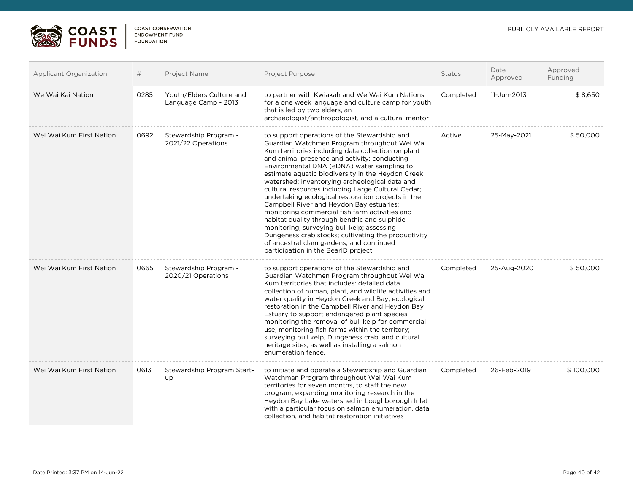

 $\overline{a}$ 

| Applicant Organization   | #    | Project Name                                     | Project Purpose                                                                                                                                                                                                                                                                                                                                                                                                                                                                                                                                                                                                                                                                                                                                                                                           | Status    | Date<br>Approved | Approved<br>Funding |
|--------------------------|------|--------------------------------------------------|-----------------------------------------------------------------------------------------------------------------------------------------------------------------------------------------------------------------------------------------------------------------------------------------------------------------------------------------------------------------------------------------------------------------------------------------------------------------------------------------------------------------------------------------------------------------------------------------------------------------------------------------------------------------------------------------------------------------------------------------------------------------------------------------------------------|-----------|------------------|---------------------|
| We Wai Kai Nation        | 0285 | Youth/Elders Culture and<br>Language Camp - 2013 | to partner with Kwiakah and We Wai Kum Nations<br>for a one week language and culture camp for youth<br>that is led by two elders, an<br>archaeologist/anthropologist, and a cultural mentor                                                                                                                                                                                                                                                                                                                                                                                                                                                                                                                                                                                                              | Completed | 11-Jun-2013      | \$8,650             |
| Wei Wai Kum First Nation | 0692 | Stewardship Program -<br>2021/22 Operations      | to support operations of the Stewardship and<br>Guardian Watchmen Program throughout Wei Wai<br>Kum territories including data collection on plant<br>and animal presence and activity; conducting<br>Environmental DNA (eDNA) water sampling to<br>estimate aquatic biodiversity in the Heydon Creek<br>watershed; inventorying archeological data and<br>cultural resources including Large Cultural Cedar;<br>undertaking ecological restoration projects in the<br>Campbell River and Heydon Bay estuaries;<br>monitoring commercial fish farm activities and<br>habitat quality through benthic and sulphide<br>monitoring; surveying bull kelp; assessing<br>Dungeness crab stocks; cultivating the productivity<br>of ancestral clam gardens; and continued<br>participation in the BearlD project | Active    | 25-May-2021      | \$50,000            |
| Wei Wai Kum First Nation | 0665 | Stewardship Program -<br>2020/21 Operations      | to support operations of the Stewardship and<br>Guardian Watchmen Program throughout Wei Wai<br>Kum territories that includes: detailed data<br>collection of human, plant, and wildlife activities and<br>water quality in Heydon Creek and Bay; ecological<br>restoration in the Campbell River and Heydon Bay<br>Estuary to support endangered plant species;<br>monitoring the removal of bull kelp for commercial<br>use; monitoring fish farms within the territory;<br>surveying bull kelp, Dungeness crab, and cultural<br>heritage sites; as well as installing a salmon<br>enumeration fence.                                                                                                                                                                                                   | Completed | 25-Aug-2020      | \$50,000            |
| Wei Wai Kum First Nation | 0613 | Stewardship Program Start-<br>up                 | to initiate and operate a Stewardship and Guardian<br>Watchman Program throughout Wei Wai Kum<br>territories for seven months, to staff the new<br>program, expanding monitoring research in the<br>Heydon Bay Lake watershed in Loughborough Inlet<br>with a particular focus on salmon enumeration, data<br>collection, and habitat restoration initiatives                                                                                                                                                                                                                                                                                                                                                                                                                                             | Completed | 26-Feb-2019      | \$100,000           |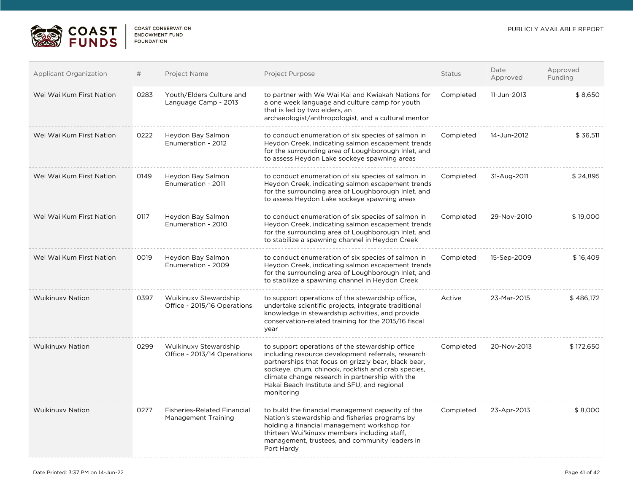

| <b>Applicant Organization</b> | #    | Project Name                                              | Project Purpose                                                                                                                                                                                                                                                                                                                     | <b>Status</b> | Date<br>Approved | Approved<br>Funding |
|-------------------------------|------|-----------------------------------------------------------|-------------------------------------------------------------------------------------------------------------------------------------------------------------------------------------------------------------------------------------------------------------------------------------------------------------------------------------|---------------|------------------|---------------------|
| Wei Wai Kum First Nation      | 0283 | Youth/Elders Culture and<br>Language Camp - 2013          | to partner with We Wai Kai and Kwiakah Nations for<br>a one week language and culture camp for youth<br>that is led by two elders, an<br>archaeologist/anthropologist, and a cultural mentor                                                                                                                                        | Completed     | 11-Jun-2013      | \$8,650             |
| Wei Wai Kum First Nation      | 0222 | Heydon Bay Salmon<br>Enumeration - 2012                   | to conduct enumeration of six species of salmon in<br>Heydon Creek, indicating salmon escapement trends<br>for the surrounding area of Loughborough Inlet, and<br>to assess Heydon Lake sockeye spawning areas                                                                                                                      | Completed     | 14-Jun-2012      | \$ 36,511           |
| Wei Wai Kum First Nation      | 0149 | Heydon Bay Salmon<br>Enumeration - 2011                   | to conduct enumeration of six species of salmon in<br>Heydon Creek, indicating salmon escapement trends<br>for the surrounding area of Loughborough Inlet, and<br>to assess Heydon Lake sockeye spawning areas                                                                                                                      | Completed     | 31-Aug-2011      | \$24,895            |
| Wei Wai Kum First Nation      | 0117 | Heydon Bay Salmon<br>Enumeration - 2010                   | to conduct enumeration of six species of salmon in<br>Heydon Creek, indicating salmon escapement trends<br>for the surrounding area of Loughborough Inlet, and<br>to stabilize a spawning channel in Heydon Creek                                                                                                                   | Completed     | 29-Nov-2010      | \$19,000            |
| Wei Wai Kum First Nation      | 0019 | Heydon Bay Salmon<br>Enumeration - 2009                   | to conduct enumeration of six species of salmon in<br>Heydon Creek, indicating salmon escapement trends<br>for the surrounding area of Loughborough Inlet, and<br>to stabilize a spawning channel in Heydon Creek                                                                                                                   | Completed     | 15-Sep-2009      | \$16,409            |
| <b>Wuikinuxy Nation</b>       | 0397 | Wuikinuxy Stewardship<br>Office - 2015/16 Operations      | to support operations of the stewardship office.<br>undertake scientific projects, integrate traditional<br>knowledge in stewardship activities, and provide<br>conservation-related training for the 2015/16 fiscal<br>year                                                                                                        | Active        | 23-Mar-2015      | \$486,172           |
| <b>Wuikinuxy Nation</b>       | 0299 | Wuikinuxy Stewardship<br>Office - 2013/14 Operations      | to support operations of the stewardship office<br>including resource development referrals, research<br>partnerships that focus on grizzly bear, black bear,<br>sockeye, chum, chinook, rockfish and crab species,<br>climate change research in partnership with the<br>Hakai Beach Institute and SFU, and regional<br>monitoring | Completed     | 20-Nov-2013      | \$172,650           |
| <b>Wuikinuxy Nation</b>       | 0277 | <b>Fisheries-Related Financial</b><br>Management Training | to build the financial management capacity of the<br>Nation's stewardship and fisheries programs by<br>holding a financial management workshop for<br>thirteen Wui'kinuxy members including staff.<br>management, trustees, and community leaders in<br>Port Hardy                                                                  | Completed     | 23-Apr-2013      | \$8,000             |